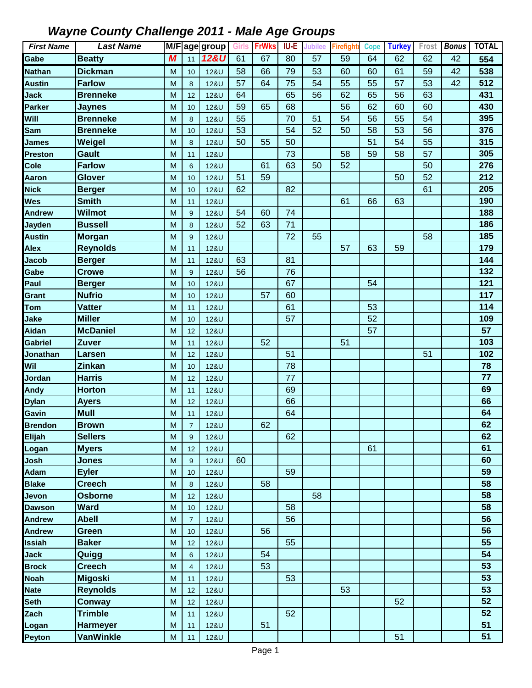| <b>First Name</b> | <b>Last Name</b> |                |                | M/Fage group    | Girls | <b>FrWks</b> | IU-E | <b>Jubilee</b>  | <b>Firefighte</b> | <b>Cope</b> | <b>Turkey</b> | Frost | <b>Bonus</b>    | <b>TOTAL</b> |
|-------------------|------------------|----------------|----------------|-----------------|-------|--------------|------|-----------------|-------------------|-------------|---------------|-------|-----------------|--------------|
| Gabe              | <b>Beatty</b>    | $\overline{M}$ | 11             | <b>12&amp;U</b> | 61    | 67           | 80   | $\overline{57}$ | 59                | 64          | 62            | 62    | $\overline{42}$ | 554          |
| <b>Nathan</b>     | <b>Dickman</b>   | M              | 10             | 12&U            | 58    | 66           | 79   | 53              | 60                | 60          | 61            | 59    | 42              | 538          |
| <b>Austin</b>     | <b>Farlow</b>    | M              | 8              | 12&U            | 57    | 64           | 75   | 54              | 55                | 55          | 57            | 53    | 42              | 512          |
| <b>Jack</b>       | <b>Brenneke</b>  | M              | 12             | 12&U            | 64    |              | 65   | 56              | 62                | 65          | 56            | 63    |                 | 431          |
| <b>Parker</b>     | Jaynes           | M              | 10             | 12&U            | 59    | 65           | 68   |                 | 56                | 62          | 60            | 60    |                 | 430          |
| Will              | <b>Brenneke</b>  | M              | $\bf 8$        | 12&U            | 55    |              | 70   | 51              | 54                | 56          | 55            | 54    |                 | 395          |
| Sam               | <b>Brenneke</b>  | M              | 10             | 12&U            | 53    |              | 54   | 52              | 50                | 58          | 53            | 56    |                 | 376          |
| <b>James</b>      | Weigel           | M              | 8              | 12&U            | 50    | 55           | 50   |                 |                   | 51          | 54            | 55    |                 | 315          |
| <b>Preston</b>    | Gault            | M              | 11             | 12&U            |       |              | 73   |                 | 58                | 59          | 58            | 57    |                 | 305          |
| Cole              | <b>Farlow</b>    | M              | $6\phantom{1}$ | 12&U            |       | 61           | 63   | 50              | 52                |             |               | 50    |                 | 276          |
| Aaron             | Glover           | M              | 10             | <b>12&amp;U</b> | 51    | 59           |      |                 |                   |             | 50            | 52    |                 | 212          |
| <b>Nick</b>       | <b>Berger</b>    | M              | 10             | <b>12&amp;U</b> | 62    |              | 82   |                 |                   |             |               | 61    |                 | 205          |
| Wes               | <b>Smith</b>     | M              | 11             | 12&U            |       |              |      |                 | 61                | 66          | 63            |       |                 | 190          |
| <b>Andrew</b>     | <b>Wilmot</b>    | M              | 9              | 12&U            | 54    | 60           | 74   |                 |                   |             |               |       |                 | 188          |
| Jayden            | <b>Bussell</b>   | M              | 8              | 12&U            | 52    | 63           | 71   |                 |                   |             |               |       |                 | 186          |
| <b>Austin</b>     | <b>Morgan</b>    | M              | 9              | 12&U            |       |              | 72   | 55              |                   |             |               | 58    |                 | 185          |
| <b>Alex</b>       | <b>Reynolds</b>  | M              | 11             | 12&U            |       |              |      |                 | 57                | 63          | 59            |       |                 | 179          |
| <b>Jacob</b>      | <b>Berger</b>    | M              | 11             | 12&U            | 63    |              | 81   |                 |                   |             |               |       |                 | 144          |
| Gabe              | <b>Crowe</b>     | M              | 9              | 12&U            | 56    |              | 76   |                 |                   |             |               |       |                 | 132          |
| Paul              | <b>Berger</b>    | M              | 10             | 12&U            |       |              | 67   |                 |                   | 54          |               |       |                 | 121          |
| Grant             | <b>Nufrio</b>    | M              | 10             | 12&U            |       | 57           | 60   |                 |                   |             |               |       |                 | 117          |
| <b>Tom</b>        | Vatter           | M              | 11             | 12&U            |       |              | 61   |                 |                   | 53          |               |       |                 | 114          |
| Jake              | <b>Miller</b>    | M              | 10             | <b>12&amp;U</b> |       |              | 57   |                 |                   | 52          |               |       |                 | 109          |
| Aidan             | <b>McDaniel</b>  | M              | 12             | 12&U            |       |              |      |                 |                   | 57          |               |       |                 | 57           |
| <b>Gabriel</b>    | Zuver            | M              | 11             | 12&U            |       | 52           |      |                 | 51                |             |               |       |                 | 103          |
| Jonathan          | Larsen           | M              | 12             | <b>12&amp;U</b> |       |              | 51   |                 |                   |             |               | 51    |                 | 102          |
| Wil               | Zinkan           | M              | 10             | 12&U            |       |              | 78   |                 |                   |             |               |       |                 | 78           |
| Jordan            | <b>Harris</b>    | M              | 12             | 12&U            |       |              | 77   |                 |                   |             |               |       |                 | 77           |
| Andy              | <b>Horton</b>    | M              | 11             | <b>12&amp;U</b> |       |              | 69   |                 |                   |             |               |       |                 | 69           |
| <b>Dylan</b>      | <b>Ayers</b>     | M              | 12             | 12&U            |       |              | 66   |                 |                   |             |               |       |                 | 66           |
| Gavin             | <b>Mull</b>      | M              | 11             | 12&U            |       |              | 64   |                 |                   |             |               |       |                 | 64           |
| <b>Brendon</b>    | <b>Brown</b>     | M              | $\overline{7}$ | 12&U            |       | 62           |      |                 |                   |             |               |       |                 | 62           |
| Elijah            | <b>Sellers</b>   | M              | 9              | 12&U            |       |              | 62   |                 |                   |             |               |       |                 | 62           |
| Logan             | <b>Myers</b>     | M              | 12             | 12&U            |       |              |      |                 |                   | 61          |               |       |                 | 61           |
| Josh              | <b>Jones</b>     | M              | 9              | 12&U            | 60    |              |      |                 |                   |             |               |       |                 | 60           |
| Adam              | <b>Eyler</b>     | M              | 10             | 12&U            |       |              | 59   |                 |                   |             |               |       |                 | 59           |
| <b>Blake</b>      | <b>Creech</b>    | M              | $\bf 8$        | 12&U            |       | 58           |      |                 |                   |             |               |       |                 | 58           |
| Jevon             | <b>Osborne</b>   | M              | 12             | 12&U            |       |              |      | 58              |                   |             |               |       |                 | 58           |
| <b>Dawson</b>     | <b>Ward</b>      | M              | 10             | 12&U            |       |              | 58   |                 |                   |             |               |       |                 | 58           |
| <b>Andrew</b>     | <b>Abell</b>     | M              | $\overline{7}$ | 12&U            |       |              | 56   |                 |                   |             |               |       |                 | 56           |
| <b>Andrew</b>     | <b>Green</b>     | M              | 10             | 12&U            |       | 56           |      |                 |                   |             |               |       |                 | 56           |
| <b>Issiah</b>     | <b>Baker</b>     | M              | 12             | 12&U            |       |              | 55   |                 |                   |             |               |       |                 | 55           |
| <b>Jack</b>       | Quigg            | M              | 6              | 12&U            |       | 54           |      |                 |                   |             |               |       |                 | 54           |
| <b>Brock</b>      | <b>Creech</b>    | M              | $\overline{4}$ | 12&U            |       | 53           |      |                 |                   |             |               |       |                 | 53           |
| <b>Noah</b>       | <b>Migoski</b>   | M              | 11             | 12&U            |       |              | 53   |                 |                   |             |               |       |                 | 53           |
| <b>Nate</b>       | <b>Reynolds</b>  | M              | 12             | 12&U            |       |              |      |                 | 53                |             |               |       |                 | 53           |
| <b>Seth</b>       | Conway           | M              | 12             | 12&U            |       |              |      |                 |                   |             | 52            |       |                 | 52           |
| Zach              | <b>Trimble</b>   | M              | 11             | 12&U            |       |              | 52   |                 |                   |             |               |       |                 | 52           |
| Logan             | <b>Harmeyer</b>  | M              | 11             | 12&U            |       | 51           |      |                 |                   |             |               |       |                 | 51           |
| <b>Peyton</b>     | <b>VanWinkle</b> | M              | 11             | 12&U            |       |              |      |                 |                   |             | 51            |       |                 | 51           |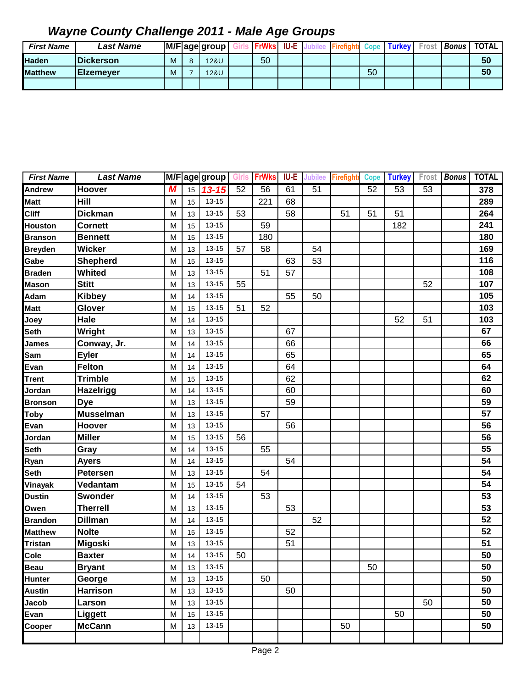| <b>First Name</b> | Last Name         |   |   | M/Fage group | <b>FrWks</b> | <b>IU-E</b> |  | Cope | <b>Turkey</b> | Frost | <b>Bonus</b> | <b>TOTAL</b> |
|-------------------|-------------------|---|---|--------------|--------------|-------------|--|------|---------------|-------|--------------|--------------|
| <b>Haden</b>      | <b>IDickerson</b> | М | ິ | 12&U         | 50           |             |  |      |               |       |              | 50           |
| <b>Matthew</b>    | <b>IEIzemever</b> | М |   | 12&U         |              |             |  | 50   |               |       |              | 50           |
|                   |                   |   |   |              |              |             |  |      |               |       |              |              |

| <b>First Name</b> | <b>Last Name</b> |   |    | M/Fage group | <b>Girls</b> | <b>FrWks</b> | <b>IU-E</b> | <b>Jubilee</b> | <b>Firefight</b> | <b>Cope</b> | <b>Turkey</b> | Frost | <b>Bonus</b> | <b>TOTAL</b> |
|-------------------|------------------|---|----|--------------|--------------|--------------|-------------|----------------|------------------|-------------|---------------|-------|--------------|--------------|
| <b>Andrew</b>     | <b>Hoover</b>    | M | 15 | $13 - 15$    | 52           | 56           | 61          | 51             |                  | 52          | 53            | 53    |              | 378          |
| <b>Matt</b>       | Hill             | M | 15 | $13 - 15$    |              | 221          | 68          |                |                  |             |               |       |              | 289          |
| <b>Cliff</b>      | <b>Dickman</b>   | M | 13 | $13 - 15$    | 53           |              | 58          |                | 51               | 51          | 51            |       |              | 264          |
| <b>Houston</b>    | <b>Cornett</b>   | M | 15 | $13 - 15$    |              | 59           |             |                |                  |             | 182           |       |              | 241          |
| <b>Branson</b>    | <b>Bennett</b>   | M | 15 | $13 - 15$    |              | 180          |             |                |                  |             |               |       |              | 180          |
| <b>Breyden</b>    | <b>Wicker</b>    | M | 13 | $13 - 15$    | 57           | 58           |             | 54             |                  |             |               |       |              | 169          |
| Gabe              | Shepherd         | M | 15 | $13 - 15$    |              |              | 63          | 53             |                  |             |               |       |              | 116          |
| <b>Braden</b>     | <b>Whited</b>    | M | 13 | $13 - 15$    |              | 51           | 57          |                |                  |             |               |       |              | 108          |
| <b>Mason</b>      | <b>Stitt</b>     | M | 13 | 13-15        | 55           |              |             |                |                  |             |               | 52    |              | 107          |
| Adam              | <b>Kibbey</b>    | M | 14 | 13-15        |              |              | 55          | 50             |                  |             |               |       |              | 105          |
| <b>Matt</b>       | Glover           | M | 15 | $13 - 15$    | 51           | 52           |             |                |                  |             |               |       |              | 103          |
| Joey              | Hale             | M | 14 | $13 - 15$    |              |              |             |                |                  |             | 52            | 51    |              | 103          |
| Seth              | Wright           | M | 13 | 13-15        |              |              | 67          |                |                  |             |               |       |              | 67           |
| <b>James</b>      | Conway, Jr.      | M | 14 | $13 - 15$    |              |              | 66          |                |                  |             |               |       |              | 66           |
| Sam               | <b>Eyler</b>     | M | 14 | $13 - 15$    |              |              | 65          |                |                  |             |               |       |              | 65           |
| Evan              | <b>Felton</b>    | M | 14 | $13 - 15$    |              |              | 64          |                |                  |             |               |       |              | 64           |
| <b>Trent</b>      | <b>Trimble</b>   | M | 15 | $13 - 15$    |              |              | 62          |                |                  |             |               |       |              | 62           |
| Jordan            | Hazelrigg        | M | 14 | $13 - 15$    |              |              | 60          |                |                  |             |               |       |              | 60           |
| <b>Bronson</b>    | <b>Dye</b>       | M | 13 | $13 - 15$    |              |              | 59          |                |                  |             |               |       |              | 59           |
| <b>Toby</b>       | <b>Musselman</b> | M | 13 | $13 - 15$    |              | 57           |             |                |                  |             |               |       |              | 57           |
| Evan              | Hoover           | M | 13 | $13 - 15$    |              |              | 56          |                |                  |             |               |       |              | 56           |
| Jordan            | <b>Miller</b>    | M | 15 | $13 - 15$    | 56           |              |             |                |                  |             |               |       |              | 56           |
| <b>Seth</b>       | Gray             | M | 14 | $13 - 15$    |              | 55           |             |                |                  |             |               |       |              | 55           |
| Ryan              | <b>Ayers</b>     | M | 14 | $13 - 15$    |              |              | 54          |                |                  |             |               |       |              | 54           |
| <b>Seth</b>       | <b>Petersen</b>  | M | 13 | $13 - 15$    |              | 54           |             |                |                  |             |               |       |              | 54           |
| Vinayak           | Vedantam         | M | 15 | $13 - 15$    | 54           |              |             |                |                  |             |               |       |              | 54           |
| <b>Dustin</b>     | <b>Swonder</b>   | M | 14 | $13 - 15$    |              | 53           |             |                |                  |             |               |       |              | 53           |
| Owen              | <b>Therrell</b>  | M | 13 | 13-15        |              |              | 53          |                |                  |             |               |       |              | 53           |
| <b>Brandon</b>    | <b>Dillman</b>   | M | 14 | $13 - 15$    |              |              |             | 52             |                  |             |               |       |              | 52           |
| <b>Matthew</b>    | <b>Nolte</b>     | M | 15 | $13 - 15$    |              |              | 52          |                |                  |             |               |       |              | 52           |
| <b>Tristan</b>    | <b>Migoski</b>   | M | 13 | $13 - 15$    |              |              | 51          |                |                  |             |               |       |              | 51           |
| Cole              | <b>Baxter</b>    | M | 14 | $13 - 15$    | 50           |              |             |                |                  |             |               |       |              | 50           |
| <b>Beau</b>       | <b>Bryant</b>    | M | 13 | $13 - 15$    |              |              |             |                |                  | 50          |               |       |              | 50           |
| Hunter            | George           | M | 13 | $13 - 15$    |              | 50           |             |                |                  |             |               |       |              | 50           |
| <b>Austin</b>     | <b>Harrison</b>  | M | 13 | $13 - 15$    |              |              | 50          |                |                  |             |               |       |              | 50           |
| Jacob             | Larson           | M | 13 | $13 - 15$    |              |              |             |                |                  |             |               | 50    |              | 50           |
| Evan              | Liggett          | M | 15 | $13 - 15$    |              |              |             |                |                  |             | 50            |       |              | 50           |
| Cooper            | <b>McCann</b>    | M | 13 | $13 - 15$    |              |              |             |                | 50               |             |               |       |              | 50           |
|                   |                  |   |    |              |              |              |             |                |                  |             |               |       |              |              |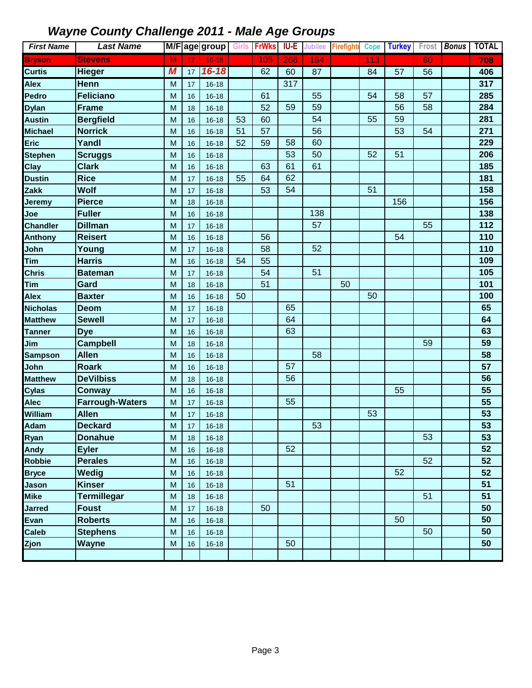| <b>First Name</b> | <b>Last Name</b>       |   |    | M/F age group |    | Girls <b>FrWks</b> | IU-E | <b>Jubilee</b> | <b>Firefighte</b> | <b>Cope</b> | <b>Turkey</b> |    | Frost Bonus | <b>TOTAL</b> |
|-------------------|------------------------|---|----|---------------|----|--------------------|------|----------------|-------------------|-------------|---------------|----|-------------|--------------|
| <b>Bryson</b>     | <b>Stevens</b>         | M | 17 | $16 - 18$     |    | 105                | 266  | 164            |                   | 113         |               | 60 |             | 708          |
| <b>Curtis</b>     | <b>Hieger</b>          | M | 17 | $16 - 18$     |    | 62                 | 60   | 87             |                   | 84          | 57            | 56 |             | 406          |
| Alex              | Henn                   | M | 17 | $16 - 18$     |    |                    | 317  |                |                   |             |               |    |             | 317          |
| Pedro             | <b>Feliciano</b>       | M | 16 | $16 - 18$     |    | 61                 |      | 55             |                   | 54          | 58            | 57 |             | 285          |
| <b>Dylan</b>      | <b>Frame</b>           | M | 18 | $16 - 18$     |    | 52                 | 59   | 59             |                   |             | 56            | 58 |             | 284          |
| <b>Austin</b>     | <b>Bergfield</b>       | M | 16 | $16 - 18$     | 53 | 60                 |      | 54             |                   | 55          | 59            |    |             | 281          |
| <b>Michael</b>    | <b>Norrick</b>         | M | 16 | $16 - 18$     | 51 | 57                 |      | 56             |                   |             | 53            | 54 |             | 271          |
| Eric              | Yandl                  | M | 16 | $16 - 18$     | 52 | 59                 | 58   | 60             |                   |             |               |    |             | 229          |
| <b>Stephen</b>    | <b>Scruggs</b>         | M | 16 | $16 - 18$     |    |                    | 53   | 50             |                   | 52          | 51            |    |             | 206          |
| Clay              | <b>Clark</b>           | M | 16 | $16 - 18$     |    | 63                 | 61   | 61             |                   |             |               |    |             | 185          |
| <b>Dustin</b>     | <b>Rice</b>            | M | 17 | $16 - 18$     | 55 | 64                 | 62   |                |                   |             |               |    |             | 181          |
| Zakk              | <b>Wolf</b>            | M | 17 | $16 - 18$     |    | 53                 | 54   |                |                   | 51          |               |    |             | 158          |
| Jeremy            | <b>Pierce</b>          | M | 18 | $16 - 18$     |    |                    |      |                |                   |             | 156           |    |             | 156          |
| Joe               | <b>Fuller</b>          | M | 16 | $16 - 18$     |    |                    |      | 138            |                   |             |               |    |             | 138          |
| <b>Chandler</b>   | <b>Dillman</b>         | M | 17 | $16 - 18$     |    |                    |      | 57             |                   |             |               | 55 |             | 112          |
| <b>Anthony</b>    | <b>Reisert</b>         | M | 16 | $16 - 18$     |    | 56                 |      |                |                   |             | 54            |    |             | 110          |
| John              | Young                  | M | 17 | $16 - 18$     |    | 58                 |      | 52             |                   |             |               |    |             | 110          |
| <b>Tim</b>        | <b>Harris</b>          | M | 16 | $16 - 18$     | 54 | 55                 |      |                |                   |             |               |    |             | 109          |
| <b>Chris</b>      | <b>Bateman</b>         | M | 17 | $16 - 18$     |    | 54                 |      | 51             |                   |             |               |    |             | 105          |
| <b>Tim</b>        | Gard                   | M | 18 | $16 - 18$     |    | 51                 |      |                | 50                |             |               |    |             | 101          |
| <b>Alex</b>       | <b>Baxter</b>          | M | 16 | $16 - 18$     | 50 |                    |      |                |                   | 50          |               |    |             | 100          |
| <b>Nicholas</b>   | Deom                   | M | 17 | $16 - 18$     |    |                    | 65   |                |                   |             |               |    |             | 65           |
| <b>Matthew</b>    | <b>Sewell</b>          | M | 17 | $16 - 18$     |    |                    | 64   |                |                   |             |               |    |             | 64           |
| <b>Tanner</b>     | <b>Dye</b>             | M | 16 | $16 - 18$     |    |                    | 63   |                |                   |             |               |    |             | 63           |
| Jim               | <b>Campbell</b>        | M | 18 | $16 - 18$     |    |                    |      |                |                   |             |               | 59 |             | 59           |
| <b>Sampson</b>    | <b>Allen</b>           | M | 16 | $16 - 18$     |    |                    |      | 58             |                   |             |               |    |             | 58           |
| John              | <b>Roark</b>           | M | 16 | $16 - 18$     |    |                    | 57   |                |                   |             |               |    |             | 57           |
| <b>Matthew</b>    | <b>DeVilbiss</b>       | M | 18 | $16 - 18$     |    |                    | 56   |                |                   |             |               |    |             | 56           |
| <b>Cylas</b>      | <b>Conway</b>          | M | 16 | $16 - 18$     |    |                    |      |                |                   |             | 55            |    |             | 55           |
| Alec              | <b>Farrough-Waters</b> | M | 17 | $16 - 18$     |    |                    | 55   |                |                   |             |               |    |             | 55           |
| William           | <b>Allen</b>           | M | 17 | $16 - 18$     |    |                    |      |                |                   | 53          |               |    |             | 53           |
| <b>Adam</b>       | <b>Deckard</b>         | M | 17 | $16 - 18$     |    |                    |      | 53             |                   |             |               |    |             | 53           |
| Ryan              | <b>Donahue</b>         | M | 18 | 16-18         |    |                    |      |                |                   |             |               | 53 |             | 53           |
| Andy              | <b>Eyler</b>           | M | 16 | $16 - 18$     |    |                    | 52   |                |                   |             |               |    |             | 52           |
| <b>Robbie</b>     | <b>Perales</b>         | M | 16 | $16 - 18$     |    |                    |      |                |                   |             |               | 52 |             | 52           |
| <b>Bryce</b>      | <b>Wedig</b>           | M | 16 | $16 - 18$     |    |                    |      |                |                   |             | 52            |    |             | 52           |
| Jason             | <b>Kinser</b>          | M | 16 | $16 - 18$     |    |                    | 51   |                |                   |             |               |    |             | 51           |
| <b>Mike</b>       | <b>Termillegar</b>     | M | 18 | $16 - 18$     |    |                    |      |                |                   |             |               | 51 |             | 51           |
| <b>Jarred</b>     | <b>Foust</b>           | M | 17 | $16 - 18$     |    | 50                 |      |                |                   |             |               |    |             | 50           |
| <b>Evan</b>       | <b>Roberts</b>         | M | 16 | $16 - 18$     |    |                    |      |                |                   |             | 50            |    |             | 50           |
| <b>Caleb</b>      | <b>Stephens</b>        | M | 16 | $16 - 18$     |    |                    |      |                |                   |             |               | 50 |             | 50           |
| Zjon              | <b>Wayne</b>           | M | 16 | $16 - 18$     |    |                    | 50   |                |                   |             |               |    |             | 50           |
|                   |                        |   |    |               |    |                    |      |                |                   |             |               |    |             |              |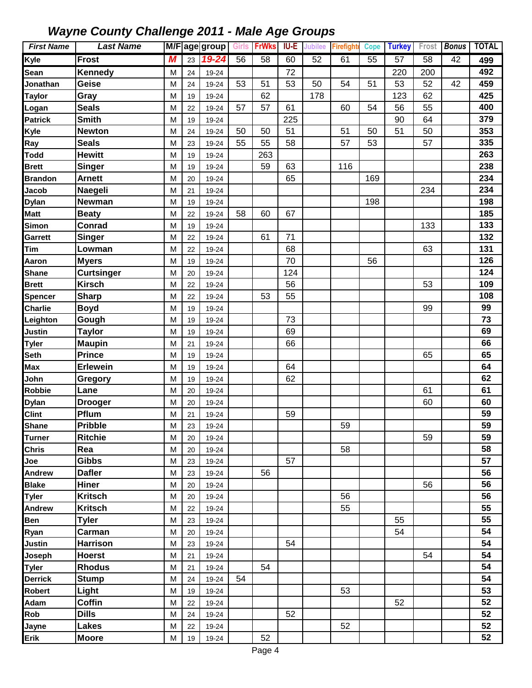| <b>First Name</b> | <b>Last Name</b>  |   |    | M/F age group |    | Girls <b>FrWks</b> | <b>IU-E</b> | <b>Jubilee</b> | <b>Firefighte</b> | <b>Cope</b> | <b>Turkey</b> | Frost | <b>Bonus</b>    | <b>TOTAL</b> |
|-------------------|-------------------|---|----|---------------|----|--------------------|-------------|----------------|-------------------|-------------|---------------|-------|-----------------|--------------|
| Kyle              | Frost             | М | 23 | 19-24         | 56 | 58                 | 60          | 52             | 61                | 55          | 57            | 58    | $\overline{42}$ | 499          |
| Sean              | <b>Kennedy</b>    | M | 24 | 19-24         |    |                    | 72          |                |                   |             | 220           | 200   |                 | 492          |
| Jonathan          | Geise             | M | 24 | 19-24         | 53 | 51                 | 53          | 50             | 54                | 51          | 53            | 52    | 42              | 459          |
| <b>Taylor</b>     | Gray              | M | 19 | 19-24         |    | 62                 |             | 178            |                   |             | 123           | 62    |                 | 425          |
| Logan             | <b>Seals</b>      | M | 22 | 19-24         | 57 | 57                 | 61          |                | 60                | 54          | 56            | 55    |                 | 400          |
| <b>Patrick</b>    | <b>Smith</b>      | M | 19 | 19-24         |    |                    | 225         |                |                   |             | 90            | 64    |                 | 379          |
| Kyle              | <b>Newton</b>     | M | 24 | 19-24         | 50 | 50                 | 51          |                | 51                | 50          | 51            | 50    |                 | 353          |
| Ray               | <b>Seals</b>      | M | 23 | 19-24         | 55 | 55                 | 58          |                | 57                | 53          |               | 57    |                 | 335          |
| <b>Todd</b>       | <b>Hewitt</b>     | M | 19 | 19-24         |    | 263                |             |                |                   |             |               |       |                 | 263          |
| <b>Brett</b>      | Singer            | M | 19 | 19-24         |    | 59                 | 63          |                | 116               |             |               |       |                 | 238          |
| <b>Brandon</b>    | <b>Arnett</b>     | M | 20 | 19-24         |    |                    | 65          |                |                   | 169         |               |       |                 | 234          |
| Jacob             | Naegeli           | M | 21 | 19-24         |    |                    |             |                |                   |             |               | 234   |                 | 234          |
| <b>Dylan</b>      | <b>Newman</b>     | M | 19 | 19-24         |    |                    |             |                |                   | 198         |               |       |                 | 198          |
| <b>Matt</b>       | <b>Beaty</b>      | M | 22 | 19-24         | 58 | 60                 | 67          |                |                   |             |               |       |                 | 185          |
| <b>Simon</b>      | Conrad            | M | 19 | 19-24         |    |                    |             |                |                   |             |               | 133   |                 | 133          |
| Garrett           | Singer            | M | 22 | 19-24         |    | 61                 | 71          |                |                   |             |               |       |                 | 132          |
| <b>Tim</b>        | Lowman            | M | 22 | 19-24         |    |                    | 68          |                |                   |             |               | 63    |                 | 131          |
| Aaron             | <b>Myers</b>      | M | 19 | 19-24         |    |                    | 70          |                |                   | 56          |               |       |                 | 126          |
| <b>Shane</b>      | <b>Curtsinger</b> | M | 20 | 19-24         |    |                    | 124         |                |                   |             |               |       |                 | 124          |
| <b>Brett</b>      | <b>Kirsch</b>     | M | 22 | 19-24         |    |                    | 56          |                |                   |             |               | 53    |                 | 109          |
| <b>Spencer</b>    | <b>Sharp</b>      | M | 22 | 19-24         |    | 53                 | 55          |                |                   |             |               |       |                 | 108          |
| <b>Charlie</b>    | <b>Boyd</b>       | M | 19 | 19-24         |    |                    |             |                |                   |             |               | 99    |                 | 99           |
| Leighton          | Gough             | M | 19 | 19-24         |    |                    | 73          |                |                   |             |               |       |                 | 73           |
| <b>Justin</b>     | <b>Taylor</b>     | M | 19 | 19-24         |    |                    | 69          |                |                   |             |               |       |                 | 69           |
| <b>Tyler</b>      | <b>Maupin</b>     | M | 21 | 19-24         |    |                    | 66          |                |                   |             |               |       |                 | 66           |
| <b>Seth</b>       | <b>Prince</b>     | M | 19 | 19-24         |    |                    |             |                |                   |             |               | 65    |                 | 65           |
| Max               | <b>Erlewein</b>   | M | 19 | 19-24         |    |                    | 64          |                |                   |             |               |       |                 | 64           |
| John              | Gregory           | M | 19 | 19-24         |    |                    | 62          |                |                   |             |               |       |                 | 62           |
| <b>Robbie</b>     | Lane              | M | 20 | 19-24         |    |                    |             |                |                   |             |               | 61    |                 | 61           |
| <b>Dylan</b>      | <b>Drooger</b>    | M | 20 | 19-24         |    |                    |             |                |                   |             |               | 60    |                 | 60           |
| <b>Clint</b>      | Pflum             | M | 21 | 19-24         |    |                    | 59          |                |                   |             |               |       |                 | 59           |
| <b>Shane</b>      | <b>Pribble</b>    | M | 23 | 19-24         |    |                    |             |                | 59                |             |               |       |                 | 59           |
| <b>Turner</b>     | <b>Ritchie</b>    | M | 20 | 19-24         |    |                    |             |                |                   |             |               | 59    |                 | 59           |
| Chris             | Rea               | M | 20 | 19-24         |    |                    |             |                | 58                |             |               |       |                 | 58           |
| Joe               | <b>Gibbs</b>      | M | 23 | 19-24         |    |                    | 57          |                |                   |             |               |       |                 | 57           |
| Andrew            | <b>Dafler</b>     | M | 23 | 19-24         |    | 56                 |             |                |                   |             |               |       |                 | 56           |
| <b>Blake</b>      | Hiner             | M | 20 | 19-24         |    |                    |             |                |                   |             |               | 56    |                 | 56           |
| <b>Tyler</b>      | <b>Kritsch</b>    | M | 20 | 19-24         |    |                    |             |                | 56                |             |               |       |                 | 56           |
| Andrew            | <b>Kritsch</b>    | M | 22 | 19-24         |    |                    |             |                | 55                |             |               |       |                 | 55           |
| Ben               | <b>Tyler</b>      | M | 23 | 19-24         |    |                    |             |                |                   |             | 55            |       |                 | 55           |
| Ryan              | Carman            | M | 20 | 19-24         |    |                    |             |                |                   |             | 54            |       |                 | 54           |
| Justin            | <b>Harrison</b>   | M | 23 | 19-24         |    |                    | 54          |                |                   |             |               |       |                 | 54           |
| Joseph            | <b>Hoerst</b>     | M | 21 | 19-24         |    |                    |             |                |                   |             |               | 54    |                 | 54           |
| <b>Tyler</b>      | <b>Rhodus</b>     | M | 21 | 19-24         |    | 54                 |             |                |                   |             |               |       |                 | 54           |
| <b>Derrick</b>    | <b>Stump</b>      | M | 24 | 19-24         | 54 |                    |             |                |                   |             |               |       |                 | 54           |
| Robert            | Light             | M | 19 | 19-24         |    |                    |             |                | 53                |             |               |       |                 | 53           |
| Adam              | <b>Coffin</b>     | M | 22 | 19-24         |    |                    |             |                |                   |             | 52            |       |                 | 52           |
| Rob               | <b>Dills</b>      | M | 24 | 19-24         |    |                    | 52          |                |                   |             |               |       |                 | 52           |
| Jayne             | <b>Lakes</b>      | M | 22 | 19-24         |    |                    |             |                | 52                |             |               |       |                 | 52           |
| Erik              | <b>Moore</b>      | M | 19 | 19-24         |    | 52                 |             |                |                   |             |               |       |                 | 52           |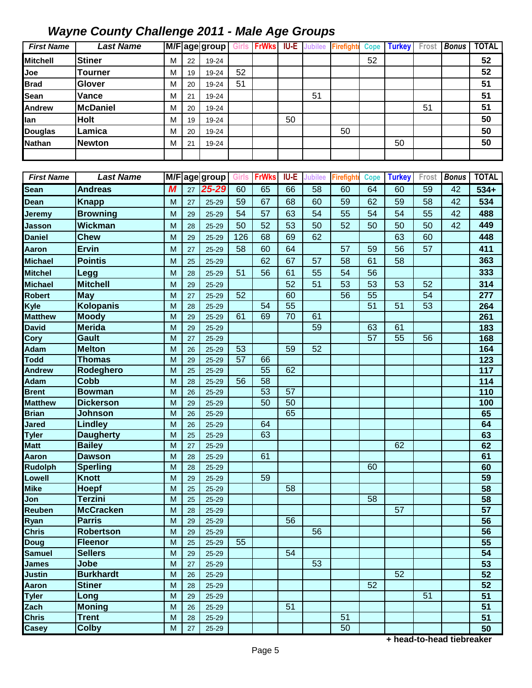| <b>First Name</b>             | <b>Last Name</b>                   |        |          | $\overline{\mathsf{M/F}}$ age group | <b>Girls</b> | <b>FrWks</b>    |      | <b>IU-E</b> Jubilee | Firefight        | <b>Cope</b>     | <b>Turkey</b>   | Frost           | <b>Bonus</b> | <b>TOTAL</b>                       |
|-------------------------------|------------------------------------|--------|----------|-------------------------------------|--------------|-----------------|------|---------------------|------------------|-----------------|-----------------|-----------------|--------------|------------------------------------|
| <b>Mitchell</b>               | <b>Stiner</b>                      | M      | 22       | 19-24                               |              |                 |      |                     |                  | 52              |                 |                 |              | 52                                 |
| Joe                           | Tourner                            | M      | 19       | 19-24                               | 52           |                 |      |                     |                  |                 |                 |                 |              | 52                                 |
| <b>Brad</b>                   | Glover                             | M      | 20       | 19-24                               | 51           |                 |      |                     |                  |                 |                 |                 |              | 51                                 |
| Sean                          | Vance                              | M      | 21       | 19-24                               |              |                 |      | 51                  |                  |                 |                 |                 |              | 51                                 |
| Andrew                        | <b>McDaniel</b>                    | M      | 20       | 19-24                               |              |                 |      |                     |                  |                 |                 | 51              |              | 51                                 |
| lan                           | <b>Holt</b>                        | M      | 19       | 19-24                               |              |                 | 50   |                     |                  |                 |                 |                 |              | 50                                 |
| Douglas                       | Lamica                             | M      | 20       | 19-24                               |              |                 |      |                     | 50               |                 |                 |                 |              | 50                                 |
| <b>Nathan</b>                 | <b>Newton</b>                      | M      | 21       | 19-24                               |              |                 |      |                     |                  |                 | 50              |                 |              | 50                                 |
|                               |                                    |        |          |                                     |              |                 |      |                     |                  |                 |                 |                 |              |                                    |
|                               |                                    |        |          |                                     |              |                 |      |                     |                  |                 |                 |                 |              |                                    |
| <b>First Name</b>             | <b>Last Name</b>                   |        |          | M/F age group                       | Girls        | <b>FrWks</b>    | IU-E | <b>Jubilee</b>      | <b>Firefight</b> | <b>Cope</b>     | <b>Turkey</b>   | Frost           | <b>Bonus</b> | <b>TOTAL</b>                       |
| <b>Sean</b>                   | <b>Andreas</b>                     | M      | 27       | $25 - 29$                           | 60           | 65              | 66   | 58                  | 60               | 64              | 60              | 59              | 42           | $534+$                             |
| Dean                          | Knapp                              | M      | 27       | 25-29                               | 59           | 67              | 68   | 60                  | 59               | 62              | 59              | 58              | 42           | 534                                |
| <b>Jeremy</b>                 | <b>Browning</b>                    | M      | 29       | $25 - 29$                           | 54           | 57              | 63   | 54                  | 55               | 54              | 54              | 55              | 42           | 488                                |
| Jasson                        | <b>Wickman</b>                     | M      | 28       | $25 - 29$                           | 50           | 52              | 53   | 50                  | 52               | 50              | 50              | 50              | 42           | 449                                |
| <b>Daniel</b>                 | <b>Chew</b>                        | M      | 29       | $25 - 29$                           | 126          | 68              | 69   | 62                  |                  |                 | 63              | 60              |              | 448                                |
| <b>Aaron</b>                  | <b>Ervin</b>                       | M      | 27       | $25 - 29$                           | 58           | 60              | 64   |                     | 57               | 59              | 56              | 57              |              | 411                                |
| <b>Michael</b>                | <b>Pointis</b>                     | M      | 25       | $25 - 29$                           |              | 62              | 67   | 57                  | 58               | 61              | 58              |                 |              | 363                                |
| <b>Mitchel</b>                | Legg                               | M      | 28       | 25-29                               | 51           | 56              | 61   | 55                  | 54               | 56              |                 |                 |              | 333                                |
| <b>Michael</b>                | <b>Mitchell</b>                    | M      | 29       | 25-29                               |              |                 | 52   | 51                  | 53               | 53              | 53              | 52              |              | 314                                |
| <b>Robert</b>                 | <b>May</b>                         | M      | 27       | 25-29                               | 52           |                 | 60   |                     | 56               | 55              |                 | $\overline{54}$ |              | 277                                |
| Kyle                          | <b>Kolopanis</b>                   | M      | 28       | 25-29                               |              | $\overline{54}$ | 55   |                     |                  | $\overline{51}$ | $\overline{51}$ | $\overline{53}$ |              | 264                                |
| <b>Matthew</b>                | <b>Moody</b>                       | M      | 29       | 25-29                               | 61           | 69              | 70   | 61                  |                  |                 |                 |                 |              | 261                                |
| <b>David</b>                  | <b>Merida</b>                      | M      | 29       | 25-29                               |              |                 |      | 59                  |                  | 63              | 61              |                 |              | 183                                |
| Cory                          | Gault                              | M      | 27       | $25 - 29$                           |              |                 |      |                     |                  | 57              | 55              | 56              |              | 168                                |
| <b>Adam</b>                   | <b>Melton</b>                      | M      | 26       | $25 - 29$                           | 53           |                 | 59   | 52                  |                  |                 |                 |                 |              | 164                                |
| <b>Todd</b>                   | <b>Thomas</b>                      | M      | 29       | 25-29                               | 57           | 66              |      |                     |                  |                 |                 |                 |              | 123                                |
| <b>Andrew</b>                 | Rodeghero                          | M      | 25       | 25-29                               |              | 55              | 62   |                     |                  |                 |                 |                 |              | 117                                |
| Adam                          | Cobb                               | M      | 28       | $25 - 29$                           | 56           | 58              |      |                     |                  |                 |                 |                 |              | 114                                |
| <b>Brent</b>                  | <b>Bowman</b>                      | M      | 26       | 25-29                               |              | 53              | 57   |                     |                  |                 |                 |                 |              | 110                                |
| <b>Matthew</b>                | <b>Dickerson</b>                   | M      | 29       | 25-29                               |              | 50              | 50   |                     |                  |                 |                 |                 |              | 100                                |
| <b>Brian</b><br>Jared         | Johnson                            | M      | 26       | 25-29                               |              |                 | 65   |                     |                  |                 |                 |                 |              | 65<br>64                           |
| <b>Tyler</b>                  | <b>Lindley</b><br><b>Daugherty</b> | M<br>M | 26       | 25-29                               |              | 64<br>63        |      |                     |                  |                 |                 |                 |              | 63                                 |
| <b>Matt</b>                   | <b>Bailey</b>                      | M      | 25<br>27 | 25-29<br>25-29                      |              |                 |      |                     |                  |                 | 62              |                 |              | 62                                 |
| Aaron                         | <b>Dawson</b>                      | M      | 28       | 25-29                               |              | 61              |      |                     |                  |                 |                 |                 |              | 61                                 |
| <b>Rudolph</b>                | <b>Sperling</b>                    | M      | 28       | 25-29                               |              |                 |      |                     |                  | 60              |                 |                 |              | 60                                 |
| Lowell                        | Knott                              | M      | 29       | 25-29                               |              | 59              |      |                     |                  |                 |                 |                 |              | 59                                 |
| <b>Mike</b>                   | Hoepf                              | M      | 25       | 25-29                               |              |                 | 58   |                     |                  |                 |                 |                 |              | 58                                 |
| Jon                           | <b>Terzini</b>                     | M      | 25       | 25-29                               |              |                 |      |                     |                  | 58              |                 |                 |              | 58                                 |
| Reuben                        | <b>McCracken</b>                   | M      | 28       | 25-29                               |              |                 |      |                     |                  |                 | 57              |                 |              | 57                                 |
| Ryan                          | <b>Parris</b>                      | M      | 29       | 25-29                               |              |                 | 56   |                     |                  |                 |                 |                 |              | 56                                 |
| Chris                         | <b>Robertson</b>                   | M      | 29       | 25-29                               |              |                 |      | 56                  |                  |                 |                 |                 |              | 56                                 |
| Doug                          | <b>Fleenor</b>                     | M      | 25       | 25-29                               | 55           |                 |      |                     |                  |                 |                 |                 |              | 55                                 |
| Samuel                        | <b>Sellers</b>                     | M      | 29       | 25-29                               |              |                 | 54   |                     |                  |                 |                 |                 |              | $\overline{54}$                    |
| <b>James</b>                  | Jobe                               | M      | 27       | 25-29                               |              |                 |      | 53                  |                  |                 |                 |                 |              | 53                                 |
| <b>Justin</b><br><b>Aaron</b> | <b>Burkhardt</b><br><b>Stiner</b>  | M<br>M | 26       | 25-29                               |              |                 |      |                     |                  | $\overline{52}$ | 52              |                 |              | $\overline{52}$<br>$\overline{52}$ |
| <b>Tyler</b>                  | Long                               | M      | 28<br>29 | 25-29<br>25-29                      |              |                 |      |                     |                  |                 |                 | 51              |              | $\overline{51}$                    |
| Zach                          | <b>Moning</b>                      | M      | 26       | 25-29                               |              |                 | 51   |                     |                  |                 |                 |                 |              | 51                                 |
| Chris                         | <b>Trent</b>                       | M      | 28       | 25-29                               |              |                 |      |                     | 51               |                 |                 |                 |              | 51                                 |
| Casey                         | <b>Colby</b>                       | M      | 27       | 25-29                               |              |                 |      |                     | 50               |                 |                 |                 |              | $\overline{50}$                    |

**+ head-to-head tiebreaker**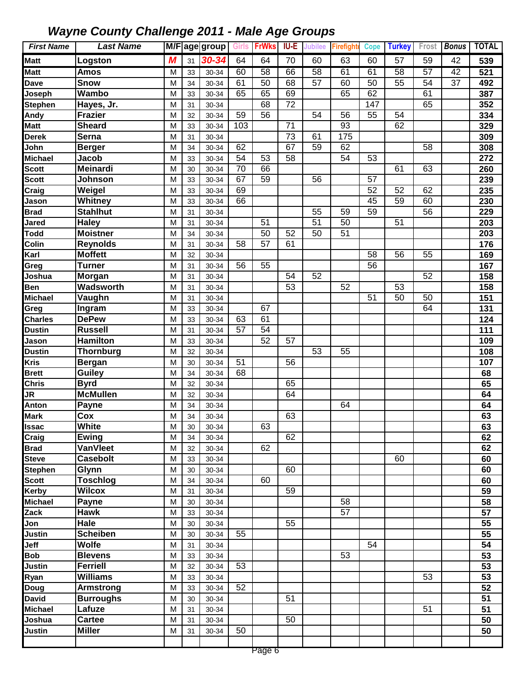| <b>First Name</b>      | <b>Last Name</b>       |        |          | M/Fage group   | <b>Girls</b>    | <b>FrWks</b> | IU-E            | <b>Jubilee</b>  | <b>Firefight</b> | <b>Cope</b>     | <b>Turkey</b>   | Frost           | <b>Bonus</b> | <b>TOTAL</b> |
|------------------------|------------------------|--------|----------|----------------|-----------------|--------------|-----------------|-----------------|------------------|-----------------|-----------------|-----------------|--------------|--------------|
| <b>Matt</b>            | Logston                | M      | 31       | $30 - 34$      | 64              | 64           | 70              | 60              | 63               | 60              | 57              | 59              | 42           | 539          |
| <b>Matt</b>            | <b>Amos</b>            | M      | 33       | 30-34          | 60              | 58           | 66              | 58              | 61               | 61              | 58              | 57              | 42           | 521          |
| <b>Dave</b>            | <b>Snow</b>            | M      | 34       | 30-34          | 61              | 50           | 68              | 57              | 60               | 50              | 55              | 54              | 37           | 492          |
| Joseph                 | Wambo                  | M      | 33       | 30-34          | 65              | 65           | 69              |                 | 65               | 62              |                 | 61              |              | 387          |
| <b>Stephen</b>         | Hayes, Jr.             | M      | 31       | 30-34          |                 | 68           | 72              |                 |                  | 147             |                 | 65              |              | 352          |
| Andy                   | <b>Frazier</b>         | M      | 32       | 30-34          | 59              | 56           |                 | 54              | 56               | 55              | 54              |                 |              | 334          |
| <b>Matt</b>            | <b>Sheard</b>          | M      | 33       | 30-34          | 103             |              | $\overline{71}$ |                 | 93               |                 | 62              |                 |              | 329          |
| <b>Derek</b>           | Serna                  | M      | 31       | 30-34          |                 |              | $\overline{73}$ | 61              | 175              |                 |                 |                 |              | 309          |
| John                   | <b>Berger</b>          | M      | 34       | 30-34          | 62              |              | 67              | 59              | 62               |                 |                 | $\overline{58}$ |              | 308          |
| <b>Michael</b>         | <b>Jacob</b>           | M      | 33       | 30-34          | 54              | 53           | $\overline{58}$ |                 | 54               | 53              |                 |                 |              | 272          |
| <b>Scott</b>           | <b>Meinardi</b>        | M      | 30       | 30-34          | $\overline{70}$ | 66           |                 |                 |                  |                 | 61              | 63              |              | 260          |
| <b>Scott</b>           | Johnson                | M      | 33       | 30-34          | 67              | 59           |                 | $\overline{56}$ |                  | 57              |                 |                 |              | 239          |
| $\overline{C}$ raig    | Weigel                 | M      | 33       | 30-34          | 69              |              |                 |                 |                  | $\overline{52}$ | $\overline{52}$ | 62              |              | 235          |
| Jason                  | <b>Whitney</b>         | M      | 33       | 30-34          | 66              |              |                 |                 |                  | 45              | $\overline{59}$ | 60              |              | 230          |
| <b>Brad</b>            | <b>Stahlhut</b>        | M      | 31       | 30-34          |                 |              |                 | 55              | 59               | 59              |                 | 56              |              | 229          |
| Jared                  | <b>Haley</b>           | M      | 31       | 30-34          |                 | 51           |                 | $\overline{51}$ | 50               |                 | 51              |                 |              | 203          |
| <b>Todd</b>            | <b>Moistner</b>        | M      | 34       | 30-34          |                 | 50           | 52              | 50              | 51               |                 |                 |                 |              | 203          |
| Colin                  | <b>Reynolds</b>        | M      | 31       | 30-34          | 58              | 57           | 61              |                 |                  |                 |                 |                 |              | 176          |
| Karl                   | <b>Moffett</b>         | M      | 32       | 30-34          |                 |              |                 |                 |                  | 58              | 56              | 55              |              | 169          |
| Greg                   | <b>Turner</b>          | M      | 31       | 30-34          | 56              | 55           |                 |                 |                  | 56              |                 |                 |              | 167          |
| Joshua                 | Morgan                 | M      | 31       | 30-34          |                 |              | 54              | 52              |                  |                 |                 | 52              |              | 158          |
| <b>Ben</b>             | Wadsworth              | M      | 31       | 30-34          |                 |              | 53              |                 | 52               |                 | 53              |                 |              | 158          |
| <b>Michael</b>         | Vaughn                 | M      | 31       | 30-34          |                 |              |                 |                 |                  | 51              | 50              | 50              |              | 151          |
| Greg<br><b>Charles</b> | Ingram<br><b>DePew</b> | M      | 33       | 30-34          | 63              | 67<br>61     |                 |                 |                  |                 |                 | 64              |              | 131          |
| <b>Dustin</b>          | <b>Russell</b>         | M<br>M | 33       | 30-34          | 57              | 54           |                 |                 |                  |                 |                 |                 |              | 124<br>111   |
| Jason                  | <b>Hamilton</b>        | M      | 31<br>33 | 30-34<br>30-34 |                 | 52           | 57              |                 |                  |                 |                 |                 |              | 109          |
| <b>Dustin</b>          | <b>Thornburg</b>       | M      | 32       | 30-34          |                 |              |                 | 53              | 55               |                 |                 |                 |              | 108          |
| Kris                   | <b>Bergan</b>          | M      | 30       | 30-34          | 51              |              | 56              |                 |                  |                 |                 |                 |              | 107          |
| <b>Brett</b>           | Guiley                 | M      | 34       | 30-34          | 68              |              |                 |                 |                  |                 |                 |                 |              | 68           |
| <b>Chris</b>           | <b>Byrd</b>            | M      | 32       | 30-34          |                 |              | 65              |                 |                  |                 |                 |                 |              | 65           |
| JR                     | <b>McMullen</b>        | M      | 32       | 30-34          |                 |              | 64              |                 |                  |                 |                 |                 |              | 64           |
| Anton                  | Payne                  | M      | 34       | 30-34          |                 |              |                 |                 | 64               |                 |                 |                 |              | 64           |
| <b>Mark</b>            | Cox                    | M      | 34       | 30-34          |                 |              | 63              |                 |                  |                 |                 |                 |              | 63           |
| <b>Issac</b>           | White                  | M      | 30       | 30-34          |                 | 63           |                 |                 |                  |                 |                 |                 |              | 63           |
| Craig                  | Ewing                  | M      | 34       | 30-34          |                 |              | 62              |                 |                  |                 |                 |                 |              | 62           |
| <b>Brad</b>            | <b>VanVleet</b>        | M      | 32       | 30-34          |                 | 62           |                 |                 |                  |                 |                 |                 |              | 62           |
| <b>Steve</b>           | <b>Casebolt</b>        | M      | 33       | 30-34          |                 |              |                 |                 |                  |                 | 60              |                 |              | 60           |
| Stephen                | Glynn                  | M      | 30       | 30-34          |                 |              | 60              |                 |                  |                 |                 |                 |              | 60           |
| Scott                  | <b>Toschlog</b>        | M      | 34       | 30-34          |                 | 60           |                 |                 |                  |                 |                 |                 |              | 60           |
| <b>Kerby</b>           | <b>Wilcox</b>          | M      | 31       | 30-34          |                 |              | 59              |                 |                  |                 |                 |                 |              | 59           |
| <b>Michael</b>         | <b>Payne</b>           | M      | 30       | 30-34          |                 |              |                 |                 | $\overline{58}$  |                 |                 |                 |              | 58           |
| Zack                   | <b>Hawk</b>            | M      | 33       | 30-34          |                 |              |                 |                 | 57               |                 |                 |                 |              | 57           |
| Jon                    | Hale                   | M      | 30       | 30-34          |                 |              | 55              |                 |                  |                 |                 |                 |              | 55           |
| Justin                 | <b>Scheiben</b>        | M      | 30       | 30-34          | 55              |              |                 |                 |                  |                 |                 |                 |              | 55           |
| Jeff                   | <b>Wolfe</b>           | M      | 31       | 30-34          |                 |              |                 |                 |                  | 54              |                 |                 |              | 54           |
| <b>Bob</b>             | <b>Blevens</b>         | M      | 33       | 30-34          |                 |              |                 |                 | 53               |                 |                 |                 |              | 53           |
| Justin                 | Ferriell               | M      | 32       | 30-34          | 53              |              |                 |                 |                  |                 |                 |                 |              | 53           |
| Ryan                   | <b>Williams</b>        | M      | 33       | 30-34          |                 |              |                 |                 |                  |                 |                 | 53              |              | 53           |
| Doug                   | <b>Armstrong</b>       | M      | 33       | 30-34          | 52              |              |                 |                 |                  |                 |                 |                 |              | 52           |
| <b>David</b>           | <b>Burroughs</b>       | M      | 30       | 30-34          |                 |              | 51              |                 |                  |                 |                 |                 |              | 51           |
| <b>Michael</b>         | Lafuze                 | M      | 31       | 30-34          |                 |              |                 |                 |                  |                 |                 | 51              |              | 51           |
| Joshua                 | <b>Cartee</b>          | M      | 31       | 30-34          |                 |              | 50              |                 |                  |                 |                 |                 |              | 50           |
| <b>Justin</b>          | <b>Miller</b>          | M      | 31       | 30-34          | 50              |              |                 |                 |                  |                 |                 |                 |              | 50           |
|                        |                        |        |          |                |                 |              |                 |                 |                  |                 |                 |                 |              |              |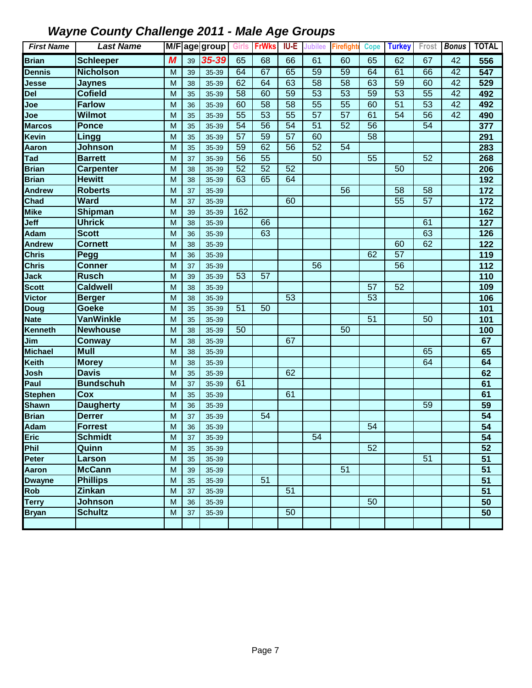| <b>First Name</b>           | <b>Last Name</b> |   |    | M/Fage group | <b>Girls</b>    | <b>FrWks</b>    | IU-E            | <b>Jubilee</b>  | <b>Firefight</b> | <b>Cope</b> | <b>Turkey</b>   |                 | Frost Bonus | <b>TOTAL</b>    |
|-----------------------------|------------------|---|----|--------------|-----------------|-----------------|-----------------|-----------------|------------------|-------------|-----------------|-----------------|-------------|-----------------|
| <b>Brian</b>                | <b>Schleeper</b> | M | 39 | 35-39        | 65              | 68              | 66              | 61              | 60               | 65          | 62              | 67              | 42          | 556             |
| <b>Dennis</b>               | <b>Nicholson</b> | M | 39 | 35-39        | 64              | 67              | 65              | 59              | 59               | 64          | 61              | 66              | 42          | 547             |
| Jesse                       | <b>Jaynes</b>    | M | 38 | 35-39        | 62              | 64              | 63              | $\overline{58}$ | 58               | 63          | 59              | 60              | 42          | 529             |
| Del                         | <b>Cofield</b>   | M | 35 | 35-39        | 58              | 60              | 59              | 53              | 53               | 59          | 53              | 55              | 42          | 492             |
| Joe                         | <b>Farlow</b>    | M | 36 | 35-39        | 60              | 58              | 58              | 55              | 55               | 60          | 51              | 53              | 42          | 492             |
| Joe                         | <b>Wilmot</b>    | M | 35 | 35-39        | $\overline{55}$ | 53              | $\overline{55}$ | 57              | $\overline{57}$  | 61          | $\overline{54}$ | $\overline{56}$ | 42          | 490             |
| <b>Marcos</b>               | <b>Ponce</b>     | M | 35 | 35-39        | 54              | 56              | 54              | 51              | 52               | 56          |                 | 54              |             | 377             |
| Kevin                       | Lingg            | M | 35 | 35-39        | 57              | 59              | 57              | 60              |                  | 58          |                 |                 |             | 291             |
| Aaron                       | <b>Johnson</b>   | M | 35 | 35-39        | 59              | 62              | 56              | 52              | $\overline{54}$  |             |                 |                 |             | 283             |
| Tad                         | <b>Barrett</b>   | M | 37 | 35-39        | $\overline{56}$ | 55              |                 | 50              |                  | 55          |                 | $\overline{52}$ |             | 268             |
| <b>Brian</b>                | <b>Carpenter</b> | M | 38 | 35-39        | $\overline{52}$ | 52              | $\overline{52}$ |                 |                  |             | 50              |                 |             | 206             |
| <b>Brian</b>                | <b>Hewitt</b>    | M | 38 | 35-39        | 63              | 65              | 64              |                 |                  |             |                 |                 |             | 192             |
| <b>Andrew</b>               | <b>Roberts</b>   | M | 37 | 35-39        |                 |                 |                 |                 | 56               |             | $\overline{58}$ | $\overline{58}$ |             | 172             |
| Chad                        | <b>Ward</b>      | M | 37 | 35-39        |                 |                 | 60              |                 |                  |             | $\overline{55}$ | $\overline{57}$ |             | 172             |
| Mike                        | Shipman          | M | 39 | 35-39        | 162             |                 |                 |                 |                  |             |                 |                 |             | 162             |
| Jeff                        | <b>Uhrick</b>    | M | 38 | 35-39        |                 | 66              |                 |                 |                  |             |                 | 61              |             | 127             |
| Adam                        | <b>Scott</b>     | M | 36 | 35-39        |                 | 63              |                 |                 |                  |             |                 | 63              |             | 126             |
| <b>Andrew</b>               | <b>Cornett</b>   | M | 38 | 35-39        |                 |                 |                 |                 |                  |             | 60              | 62              |             | 122             |
| <b>Chris</b>                | Pegg             | M | 36 | 35-39        |                 |                 |                 |                 |                  | 62          | 57              |                 |             | 119             |
| $\overline{\mathsf{Chris}}$ | <b>Conner</b>    | M | 37 | 35-39        |                 |                 |                 | 56              |                  |             | 56              |                 |             | 112             |
| Jack                        | <b>Rusch</b>     | M | 39 | 35-39        | 53              | 57              |                 |                 |                  |             |                 |                 |             | 110             |
| <b>Scott</b>                | <b>Caldwell</b>  | M | 38 | 35-39        |                 |                 |                 |                 |                  | 57          | 52              |                 |             | 109             |
| Victor                      | <b>Berger</b>    | M | 38 | 35-39        |                 |                 | 53              |                 |                  | 53          |                 |                 |             | 106             |
| Doug                        | <b>Goeke</b>     | M | 35 | 35-39        | 51              | 50              |                 |                 |                  |             |                 |                 |             | 101             |
| <b>Nate</b>                 | <b>VanWinkle</b> | M | 35 | 35-39        |                 |                 |                 |                 |                  | 51          |                 | 50              |             | 101             |
| Kenneth                     | <b>Newhouse</b>  | M | 38 | 35-39        | 50              |                 |                 |                 | 50               |             |                 |                 |             | 100             |
| Jim                         | <b>Conway</b>    | M | 38 | 35-39        |                 |                 | 67              |                 |                  |             |                 |                 |             | 67              |
| <b>Michael</b>              | <b>Mull</b>      | M | 38 | 35-39        |                 |                 |                 |                 |                  |             |                 | 65              |             | 65              |
| Keith                       | <b>Morey</b>     | M | 38 | 35-39        |                 |                 |                 |                 |                  |             |                 | 64              |             | 64              |
| Josh                        | <b>Davis</b>     | M | 35 | 35-39        |                 |                 | 62              |                 |                  |             |                 |                 |             | 62              |
| $\overline{\mathsf{Paul}}$  | <b>Bundschuh</b> | M | 37 | 35-39        | 61              |                 |                 |                 |                  |             |                 |                 |             | 61              |
| <b>Stephen</b>              | Cox              | M | 35 | 35-39        |                 |                 | 61              |                 |                  |             |                 |                 |             | 61              |
| <b>Shawn</b>                | <b>Daugherty</b> | M | 36 | 35-39        |                 |                 |                 |                 |                  |             |                 | 59              |             | 59              |
| <b>Brian</b>                | <b>Derrer</b>    | M | 37 | 35-39        |                 | 54              |                 |                 |                  |             |                 |                 |             | 54              |
| Adam                        | <b>Forrest</b>   | M | 36 | 35-39        |                 |                 |                 |                 |                  | 54          |                 |                 |             | $\overline{54}$ |
| Eric                        | <b>Schmidt</b>   | M | 37 | 35-39        |                 |                 |                 | 54              |                  |             |                 |                 |             | 54              |
| Phil                        | Quinn            | M | 35 | 35-39        |                 |                 |                 |                 |                  | 52          |                 |                 |             | 52              |
| Peter                       | Larson           | M | 35 | 35-39        |                 |                 |                 |                 |                  |             |                 | 51              |             | 51              |
| Aaron                       | <b>McCann</b>    | M | 39 | 35-39        |                 |                 |                 |                 | $\overline{51}$  |             |                 |                 |             | 51              |
| <b>Dwayne</b>               | <b>Phillips</b>  | M | 35 | 35-39        |                 | $\overline{51}$ |                 |                 |                  |             |                 |                 |             | $\overline{51}$ |
| Rob                         | <b>Zinkan</b>    | M | 37 | 35-39        |                 |                 | $\overline{51}$ |                 |                  |             |                 |                 |             | $\overline{51}$ |
| <b>Terry</b>                | <b>Johnson</b>   | M | 36 | 35-39        |                 |                 |                 |                 |                  | 50          |                 |                 |             | 50              |
| <b>Bryan</b>                | <b>Schultz</b>   | M | 37 | 35-39        |                 |                 | 50              |                 |                  |             |                 |                 |             | 50              |
|                             |                  |   |    |              |                 |                 |                 |                 |                  |             |                 |                 |             |                 |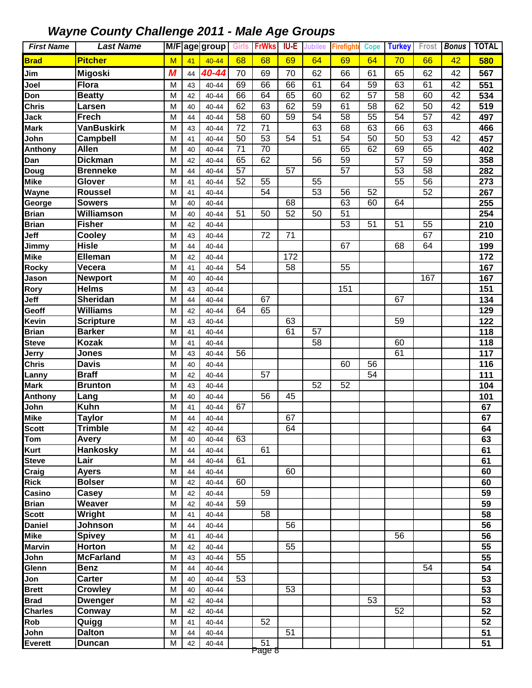| <b>First Name</b> | <b>Last Name</b>           |        |          | M/Fage group   | <b>Girls</b>    | <b>FrWks</b>    | IU-E | Jubilee         | <b>Firefighte</b> | <b>Cope</b>     | <b>Turkey</b>   | Frost           | <b>Bonus</b>    | <b>TOTAL</b> |
|-------------------|----------------------------|--------|----------|----------------|-----------------|-----------------|------|-----------------|-------------------|-----------------|-----------------|-----------------|-----------------|--------------|
| <b>Brad</b>       | <b>Pitcher</b>             | M      | 41       | $40 - 44$      | 68              | 68              | 69   | 64              | 69                | 64              | 70              | 66              | 42              | 580          |
| Jim               | <b>Migoski</b>             | M      | 44       | 40-44          | 70              | 69              | 70   | 62              | 66                | 61              | 65              | 62              | 42              | 567          |
| Joel              | <b>Flora</b>               | M      | 43       | 40-44          | 69              | 66              | 66   | 61              | 64                | 59              | 63              | 61              | 42              | 551          |
| Don               | <b>Beatty</b>              | M      | 42       | 40-44          | 66              | 64              | 65   | 60              | 62                | $\overline{57}$ | $\overline{58}$ | 60              | $\overline{42}$ | 534          |
| <b>Chris</b>      | Larsen                     | M      | 40       | 40-44          | 62              | 63              | 62   | 59              | 61                | $\overline{58}$ | 62              | 50              | $\overline{42}$ | 519          |
| Jack              | <b>Frech</b>               | M      | 44       | 40-44          | $\overline{58}$ | 60              | 59   | $\overline{54}$ | $\overline{58}$   | $\overline{55}$ | $\overline{54}$ | 57              | 42              | 497          |
| Mark              | <b>VanBuskirk</b>          | M      | 43       | 40-44          | $\overline{72}$ | $\overline{71}$ |      | 63              | 68                | 63              | 66              | 63              |                 | 466          |
| John              | <b>Campbell</b>            | M      | 41       | 40-44          | 50              | 53              | 54   | $\overline{51}$ | 54                | 50              | $\overline{50}$ | $\overline{53}$ | 42              | 457          |
| Anthony           | <b>Allen</b>               | M      | 40       | 40-44          | 71              | 70              |      |                 | 65                | 62              | 69              | 65              |                 | 402          |
| Dan               | <b>Dickman</b>             | M      | 42       | 40-44          | 65              | 62              |      | 56              | 59                |                 | 57              | 59              |                 | 358          |
| Doug              | <b>Brenneke</b>            | M      | 44       | 40-44          | 57              |                 | 57   |                 | 57                |                 | 53              | 58              |                 | 282          |
| Mike              | Glover                     | M      | 41       | 40-44          | 52              | 55              |      | 55              |                   |                 | 55              | 56              |                 | 273          |
| Wayne             | <b>Roussel</b>             | M      | 41       | 40-44          |                 | $\overline{54}$ |      | $\overline{53}$ | 56                | 52              |                 | 52              |                 | 267          |
| George            | <b>Sowers</b>              | M      | 40       | 40-44          |                 |                 | 68   |                 | 63                | 60              | 64              |                 |                 | 255          |
| <b>Brian</b>      | <b>Williamson</b>          | M      | 40       | 40-44          | 51              | 50              | 52   | 50              | 51                |                 |                 |                 |                 | 254          |
| <b>Brian</b>      | <b>Fisher</b>              | M      | 42       | 40-44          |                 |                 |      |                 | 53                | 51              | 51              | 55              |                 | 210          |
| Jeff              | Cooley<br><b>Hisle</b>     | M      | 43       | 40-44          |                 | 72              | 71   |                 | 67                |                 | 68              | 67<br>64        |                 | 210          |
| Jimmy<br>Mike     | Elleman                    | M      | 44       | 40-44          |                 |                 | 172  |                 |                   |                 |                 |                 |                 | 199<br>172   |
| Rocky             | Vecera                     | M<br>M | 42<br>41 | 40-44<br>40-44 | 54              |                 | 58   |                 | 55                |                 |                 |                 |                 | 167          |
| Jason             | <b>Newport</b>             | M      | 40       | 40-44          |                 |                 |      |                 |                   |                 |                 | 167             |                 | 167          |
| Rory              | <b>Helms</b>               | M      | 43       | 40-44          |                 |                 |      |                 | 151               |                 |                 |                 |                 | 151          |
| Jeff              | Sheridan                   | M      | 44       | 40-44          |                 | 67              |      |                 |                   |                 | 67              |                 |                 | 134          |
| Geoff             | <b>Williams</b>            | M      | 42       | 40-44          | 64              | 65              |      |                 |                   |                 |                 |                 |                 | 129          |
| Kevin             | <b>Scripture</b>           | M      | 43       | 40-44          |                 |                 | 63   |                 |                   |                 | 59              |                 |                 | 122          |
| <b>Brian</b>      | <b>Barker</b>              | M      | 41       | 40-44          |                 |                 | 61   | 57              |                   |                 |                 |                 |                 | 118          |
| <b>Steve</b>      | <b>Kozak</b>               | M      | 41       | 40-44          |                 |                 |      | 58              |                   |                 | 60              |                 |                 | 118          |
| Jerry             | Jones                      | M      | 43       | 40-44          | 56              |                 |      |                 |                   |                 | 61              |                 |                 | 117          |
| <b>Chris</b>      | <b>Davis</b>               | M      | 40       | 40-44          |                 |                 |      |                 | 60                | 56              |                 |                 |                 | 116          |
| Lanny             | <b>Braff</b>               | M      | 42       | 40-44          |                 | $\overline{57}$ |      |                 |                   | $\overline{54}$ |                 |                 |                 | 111          |
| <b>Mark</b>       | <b>Brunton</b>             | M      | 43       | 40-44          |                 |                 |      | $\overline{52}$ | 52                |                 |                 |                 |                 | 104          |
| Anthony           | Lang                       | M      | 40       | 40-44          |                 | $\overline{56}$ | 45   |                 |                   |                 |                 |                 |                 | 101          |
| John              | Kuhn                       | M      | 41       | 40-44          | 67              |                 |      |                 |                   |                 |                 |                 |                 | 67           |
| Mike              | <b>Taylor</b>              | M      | 44       | $40 - 44$      |                 |                 | 67   |                 |                   |                 |                 |                 |                 | 67           |
| Scott             | <b>Trimble</b>             | M      | 42       | 40-44          |                 |                 | 64   |                 |                   |                 |                 |                 |                 | 64           |
| Tom               | <b>Avery</b>               | M      | 40       | 40-44          | 63              |                 |      |                 |                   |                 |                 |                 |                 | 63           |
| Kurt              | <b>Hankosky</b>            | M      | 44       | 40-44          |                 | 61              |      |                 |                   |                 |                 |                 |                 | 61           |
| <b>Steve</b>      | Lair                       | M      | 44       | 40-44          | 61              |                 |      |                 |                   |                 |                 |                 |                 | 61           |
| Craig             | <b>Ayers</b>               | M      | 44       | 40-44          |                 |                 | 60   |                 |                   |                 |                 |                 |                 | 60           |
| <b>Rick</b>       | <b>Bolser</b>              | M      | 42       | 40-44          | 60              |                 |      |                 |                   |                 |                 |                 |                 | 60           |
| Casino            | Casey                      | M      | 42       | 40-44          |                 | 59              |      |                 |                   |                 |                 |                 |                 | 59           |
| <b>Brian</b>      | Weaver                     | M      | 42       | 40-44          | 59              |                 |      |                 |                   |                 |                 |                 |                 | 59           |
| <b>Scott</b>      | Wright                     | M      | 41       | 40-44          |                 | 58              |      |                 |                   |                 |                 |                 |                 | 58           |
| <b>Daniel</b>     | Johnson                    | M      | 44       | 40-44          |                 |                 | 56   |                 |                   |                 |                 |                 |                 | 56           |
| Mike              | <b>Spivey</b>              | M      | 41       | 40-44          |                 |                 |      |                 |                   |                 | 56              |                 |                 | 56           |
| Marvin            | Horton<br><b>McFarland</b> | M      | 42       | 40-44          | 55              |                 | 55   |                 |                   |                 |                 |                 |                 | 55<br>55     |
| John<br>Glenn     | <b>Benz</b>                | M<br>M | 43       | 40-44          |                 |                 |      |                 |                   |                 |                 | 54              |                 | 54           |
| Jon               | <b>Carter</b>              | M      | 44<br>40 | 40-44<br>40-44 | 53              |                 |      |                 |                   |                 |                 |                 |                 | 53           |
| <b>Brett</b>      | <b>Crowley</b>             | M      | 40       | 40-44          |                 |                 | 53   |                 |                   |                 |                 |                 |                 | 53           |
| <b>Brad</b>       | <b>Dwenger</b>             | M      | 42       | 40-44          |                 |                 |      |                 |                   | 53              |                 |                 |                 | 53           |
| <b>Charles</b>    | Conway                     | M      | 42       | 40-44          |                 |                 |      |                 |                   |                 | 52              |                 |                 | 52           |
| Rob               | Quigg                      | M      | 41       | 40-44          |                 | 52              |      |                 |                   |                 |                 |                 |                 | 52           |
| John              | <b>Dalton</b>              | M      | 44       | 40-44          |                 |                 | 51   |                 |                   |                 |                 |                 |                 | 51           |
| Everett           | Duncan                     | M      | 42       | 40-44          |                 | $\overline{51}$ |      |                 |                   |                 |                 |                 |                 | 51           |
|                   |                            |        |          |                |                 | Page 8          |      |                 |                   |                 |                 |                 |                 |              |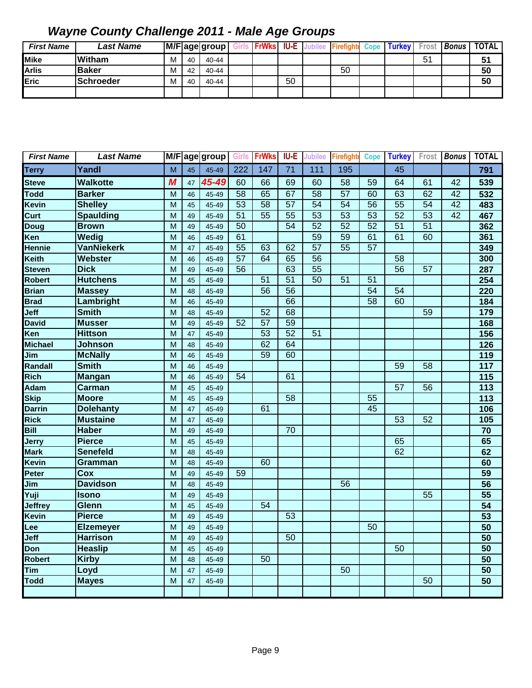| <b>First Name</b> | <b>Last Name</b>  |   |    | M/F age group | <b>FrWks</b> IU-E |    | <b>Firefighte Cope</b> | <b>Turkey</b> | Frost | <b>Bonus</b> | <b>TOTAL</b> |
|-------------------|-------------------|---|----|---------------|-------------------|----|------------------------|---------------|-------|--------------|--------------|
| <b>Mike</b>       | <b>Witham</b>     | м | 40 | 40-44         |                   |    |                        |               | 51    |              | 51           |
| <b>Arlis</b>      | <b>IBaker</b>     | м | 42 | 40-44         |                   |    | 50                     |               |       |              | 50           |
| Eric              | <b>ISchroeder</b> | м | 40 | 40-44         |                   | 50 |                        |               |       |              | 50           |
|                   |                   |   |    |               |                   |    |                        |               |       |              |              |

| <b>First Name</b> | <b>Last Name</b>  | M/F |    | age group | Girls           | <b>FrWks</b>    | <b>IU-E</b>     | <b>Jubilee</b>  | <b>Firefight</b> | <b>Cope</b>     | <b>Turkey</b>   | Frost           | <b>Bonus</b>    | <b>TOTAL</b>      |
|-------------------|-------------------|-----|----|-----------|-----------------|-----------------|-----------------|-----------------|------------------|-----------------|-----------------|-----------------|-----------------|-------------------|
| <b>Terry</b>      | Yandl             | M   | 45 | 45-49     | 222             | 147             | 71              | 111             | 195              |                 | 45              |                 |                 | 791               |
| <b>Steve</b>      | <b>Walkotte</b>   | M   | 47 | 45-49     | 60              | 66              | 69              | 60              | 58               | 59              | 64              | 61              | 42              | 539               |
| Todd              | <b>Barker</b>     | M   | 46 | 45-49     | $\overline{58}$ | 65              | 67              | 58              | 57               | 60              | 63              | 62              | 42              | 532               |
| Kevin             | <b>Shelley</b>    | M   | 45 | 45-49     | $\overline{53}$ | $\overline{58}$ | $\overline{57}$ | $\overline{54}$ | $\overline{54}$  | $\overline{56}$ | $\overline{55}$ | $\overline{54}$ | $\overline{42}$ | 483               |
| Curt              | <b>Spaulding</b>  | M   | 49 | 45-49     | $\overline{51}$ | $\overline{55}$ | $\overline{55}$ | 53              | $\overline{53}$  | $\overline{53}$ | $\overline{52}$ | $\overline{53}$ | 42              | 467               |
| Doug              | <b>Brown</b>      | M   | 49 | 45-49     | $\overline{50}$ |                 | $\overline{54}$ | $\overline{52}$ | 52               | $\overline{52}$ | $\overline{51}$ | $\overline{51}$ |                 | 362               |
| Ken               | Wedig             | M   | 46 | 45-49     | 61              |                 |                 | 59              | 59               | 61              | 61              | 60              |                 | 361               |
| <b>Hennie</b>     | <b>VanNiekerk</b> | M   | 47 | 45-49     | $\overline{55}$ | 63              | 62              | $\overline{57}$ | $\overline{55}$  | $\overline{57}$ |                 |                 |                 | 349               |
| Keith             | Webster           | M   | 46 | 45-49     | 57              | 64              | 65              | $\overline{56}$ |                  |                 | $\overline{58}$ |                 |                 | 300               |
| <b>Steven</b>     | <b>Dick</b>       | M   | 49 | 45-49     | 56              |                 | 63              | $\overline{55}$ |                  |                 | $\overline{56}$ | $\overline{57}$ |                 | 287               |
| Robert            | <b>Hutchens</b>   | M   | 45 | 45-49     |                 | 51              | 51              | 50              | 51               | 51              |                 |                 |                 | 254               |
| <b>Brian</b>      | <b>Massey</b>     | M   | 48 | 45-49     |                 | $\overline{56}$ | $\overline{56}$ |                 |                  | $\overline{54}$ | $\overline{54}$ |                 |                 | 220               |
| <b>Brad</b>       | Lambright         | M   | 46 | 45-49     |                 |                 | 66              |                 |                  | $\overline{58}$ | 60              |                 |                 | 184               |
| Jeff              | <b>Smith</b>      | M   | 48 | 45-49     |                 | 52              | 68              |                 |                  |                 |                 | 59              |                 | 179               |
| <b>David</b>      | <b>Musser</b>     | M   | 49 | 45-49     | 52              | $\overline{57}$ | 59              |                 |                  |                 |                 |                 |                 | 168               |
| Ken               | <b>Hittson</b>    | M   | 47 | 45-49     |                 | 53              | 52              | $\overline{51}$ |                  |                 |                 |                 |                 | 156               |
| <b>Michael</b>    | <b>Johnson</b>    | M   | 48 | 45-49     |                 | 62              | 64              |                 |                  |                 |                 |                 |                 | $\frac{1}{126}$   |
| Jim               | <b>McNally</b>    | M   | 46 | 45-49     |                 | 59              | 60              |                 |                  |                 |                 |                 |                 | 119               |
| Randall           | <b>Smith</b>      | M   | 46 | 45-49     |                 |                 |                 |                 |                  |                 | 59              | $\overline{58}$ |                 | $\frac{117}{117}$ |
| Rich              | <b>Mangan</b>     | M   | 46 | 45-49     | 54              |                 | 61              |                 |                  |                 |                 |                 |                 | 115               |
| Adam              | Carman            | M   | 45 | 45-49     |                 |                 |                 |                 |                  |                 | $\overline{57}$ | 56              |                 | 113               |
| <b>Skip</b>       | <b>Moore</b>      | M   | 45 | 45-49     |                 |                 | $\overline{58}$ |                 |                  | $\overline{55}$ |                 |                 |                 | $\frac{1}{113}$   |
| <b>Darrin</b>     | <b>Dolehanty</b>  | M   | 47 | 45-49     |                 | 61              |                 |                 |                  | 45              |                 |                 |                 | 106               |
| Rick              | <b>Mustaine</b>   | M   | 47 | 45-49     |                 |                 |                 |                 |                  |                 | 53              | 52              |                 | 105               |
| Bill              | <b>Haber</b>      | M   | 49 | 45-49     |                 |                 | $\overline{70}$ |                 |                  |                 |                 |                 |                 | 70                |
| Jerry             | <b>Pierce</b>     | M   | 45 | 45-49     |                 |                 |                 |                 |                  |                 | 65              |                 |                 | 65                |
| <b>Mark</b>       | <b>Senefeld</b>   | M   | 48 | 45-49     |                 |                 |                 |                 |                  |                 | 62              |                 |                 | 62                |
| Kevin             | Gramman           | M   | 48 | 45-49     |                 | 60              |                 |                 |                  |                 |                 |                 |                 | 60                |
| Peter             | Cox               | M   | 49 | 45-49     | 59              |                 |                 |                 |                  |                 |                 |                 |                 | 59                |
| Jim               | <b>Davidson</b>   | M   | 48 | 45-49     |                 |                 |                 |                 | $\overline{56}$  |                 |                 |                 |                 | $\overline{56}$   |
| Yuji              | <b>Isono</b>      | M   | 49 | 45-49     |                 |                 |                 |                 |                  |                 |                 | 55              |                 | 55                |
| <b>Jeffrey</b>    | <b>Glenn</b>      | M   | 45 | 45-49     |                 | $\overline{54}$ |                 |                 |                  |                 |                 |                 |                 | $\overline{54}$   |
| Kevin             | <b>Pierce</b>     | M   | 49 | 45-49     |                 |                 | $\overline{53}$ |                 |                  |                 |                 |                 |                 | 53                |
| Lee               | <b>Elzemeyer</b>  | M   | 49 | 45-49     |                 |                 |                 |                 |                  | $\overline{50}$ |                 |                 |                 | 50                |
| Jeff              | <b>Harrison</b>   | M   | 49 | 45-49     |                 |                 | 50              |                 |                  |                 |                 |                 |                 | $\overline{50}$   |
| Don               | <b>Heaslip</b>    | M   | 45 | 45-49     |                 |                 |                 |                 |                  |                 | $\overline{50}$ |                 |                 | $\overline{50}$   |
| Robert            | <b>Kirby</b>      | M   | 48 | 45-49     |                 | $\overline{50}$ |                 |                 |                  |                 |                 |                 |                 | 50                |
| Tim               | Loyd              | M   | 47 | 45-49     |                 |                 |                 |                 | 50               |                 |                 |                 |                 | 50                |
| <b>Todd</b>       | <b>Mayes</b>      | M   | 47 | 45-49     |                 |                 |                 |                 |                  |                 |                 | 50              |                 | 50                |
|                   |                   |     |    |           |                 |                 |                 |                 |                  |                 |                 |                 |                 |                   |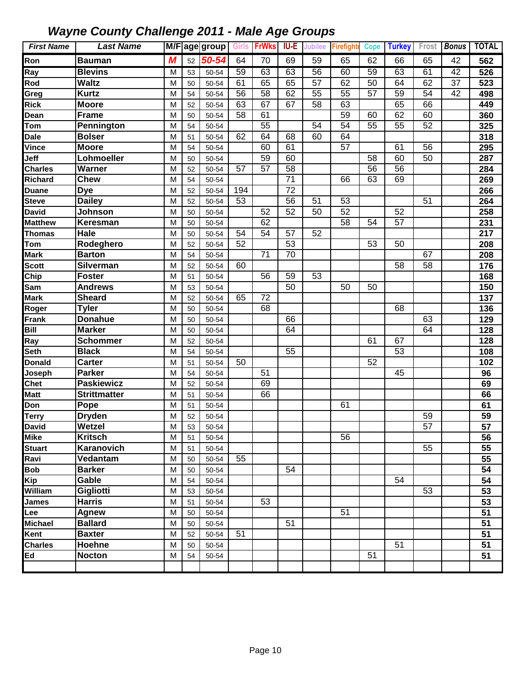| <b>First Name</b>            | <b>Last Name</b>        |   |    | M/Fage group | <b>Girls</b>    | <b>FrWks</b>    | IU-E            | <b>Jubilee</b>  | <b>Firefight</b> | <b>Cope</b>     | <b>Turkey</b> |                 | Frost Bonus | <b>TOTAL</b> |
|------------------------------|-------------------------|---|----|--------------|-----------------|-----------------|-----------------|-----------------|------------------|-----------------|---------------|-----------------|-------------|--------------|
| Ron                          | <b>Bauman</b>           | M | 52 | 50-54        | 64              | 70              | 69              | 59              | 65               | 62              | 66            | 65              | 42          | 562          |
| Ray                          | <b>Blevins</b>          | M | 53 | 50-54        | 59              | 63              | 63              | $\overline{56}$ | 60               | 59              | 63            | 61              | 42          | 526          |
| Rod                          | <b>Waltz</b>            | M | 50 | 50-54        | 61              | 65              | 65              | 57              | 62               | 50              | 64            | 62              | 37          | 523          |
| Greg                         | <b>Kurtz</b>            | M | 54 | 50-54        | 56              | 58              | 62              | 55              | 55               | 57              | 59            | 54              | 42          | 498          |
| Rick                         | <b>Moore</b>            | M | 52 | 50-54        | 63              | 67              | 67              | 58              | 63               |                 | 65            | 66              |             | 449          |
| Dean                         | <b>Frame</b>            | M | 50 | 50-54        | 58              | 61              |                 |                 | 59               | 60              | 62            | 60              |             | 360          |
| Tom                          | Pennington              | M | 54 | 50-54        |                 | 55              |                 | 54              | 54               | 55              | 55            | 52              |             | 325          |
| Dale                         | <b>Bolser</b>           | M | 51 | 50-54        | 62              | 64              | 68              | 60              | 64               |                 |               |                 |             | 318          |
| $\overline{\mathsf{V}}$ ince | <b>Moore</b>            | M | 54 | 50-54        |                 | 60              | 61              |                 | $\overline{57}$  |                 | 61            | 56              |             | 295          |
| Jeff                         | Lohmoeller              | M | 50 | 50-54        |                 | 59              | 60              |                 |                  | $\overline{58}$ | 60            | 50              |             | 287          |
| <b>Charles</b>               | Warner                  | M | 52 | 50-54        | 57              | $\overline{57}$ | $\overline{58}$ |                 |                  | $\overline{56}$ | 56            |                 |             | 284          |
| Richard                      | <b>Chew</b>             | M | 54 | 50-54        |                 |                 | $\overline{71}$ |                 | 66               | 63              | 69            |                 |             | 269          |
| <b>Duane</b>                 | <b>Dye</b>              | M | 52 | 50-54        | 194             |                 | $\overline{72}$ |                 |                  |                 |               |                 |             | 266          |
| <b>Steve</b>                 | <b>Dailey</b>           | M | 52 | 50-54        | $\overline{53}$ |                 | 56              | 51              | $\overline{53}$  |                 |               | $\overline{51}$ |             | 264          |
| <b>David</b>                 | Johnson                 | M | 50 | 50-54        |                 | 52              | 52              | 50              | 52               |                 | 52            |                 |             | 258          |
| <b>Matthew</b>               | Keresman                | M | 50 | 50-54        |                 | 62              |                 |                 | 58               | 54              | 57            |                 |             | 231          |
| Thomas                       | Hale                    | M | 50 | 50-54        | 54              | 54              | 57              | 52              |                  |                 |               |                 |             | 217          |
| Tom                          | Rodeghero               | M | 52 | 50-54        | 52              |                 | 53              |                 |                  | 53              | 50            |                 |             | 208          |
| Mark                         | <b>Barton</b>           | М | 54 | 50-54        |                 | 71              | 70              |                 |                  |                 |               | 67              |             | 208          |
| <b>Scott</b>                 | Silverman               | M | 52 | 50-54        | 60              |                 |                 |                 |                  |                 | 58            | 58              |             | 176          |
| Chip                         | <b>Foster</b>           | M | 51 | 50-54        |                 | 56              | 59              | 53              |                  |                 |               |                 |             | 168          |
| Sam                          | <b>Andrews</b>          | M | 53 | 50-54        |                 |                 | 50              |                 | 50               | 50              |               |                 |             | 150          |
| Mark                         | <b>Sheard</b>           | M | 52 | 50-54        | 65              | 72              |                 |                 |                  |                 |               |                 |             | 137          |
| Roger                        | <b>Tyler</b>            | M | 50 | 50-54        |                 | 68              |                 |                 |                  |                 | 68            |                 |             | 136          |
| Frank                        | <b>Donahue</b>          | M | 50 | 50-54        |                 |                 | 66              |                 |                  |                 |               | 63              |             | 129          |
| Bill                         | <b>Marker</b>           | M | 50 | 50-54        |                 |                 | 64              |                 |                  |                 |               | 64              |             | 128          |
| Ray                          | <b>Schommer</b>         | М | 52 | 50-54        |                 |                 |                 |                 |                  | 61              | 67            |                 |             | 128          |
| Seth                         | <b>Black</b>            | M | 54 | 50-54        |                 |                 | 55              |                 |                  |                 | 53            |                 |             | 108          |
| <b>Donald</b>                | <b>Carter</b>           | M | 51 | 50-54        | 50              |                 |                 |                 |                  | 52              |               |                 |             | 102          |
| Joseph                       | <b>Parker</b>           | M | 54 | 50-54        |                 | 51              |                 |                 |                  |                 | 45            |                 |             | 96           |
| Chet                         | <b>Paskiewicz</b>       | M | 52 | 50-54        |                 | 69              |                 |                 |                  |                 |               |                 |             | 69           |
| Matt                         | Strittmatter            | M | 51 | 50-54        |                 | 66              |                 |                 |                  |                 |               |                 |             | 66           |
| Don                          | Pope                    | M | 51 | 50-54        |                 |                 |                 |                 | 61               |                 |               |                 |             | 61           |
| Terry                        | <b>Dryden</b>           | M | 52 | 50-54        |                 |                 |                 |                 |                  |                 |               | 59              |             | 59           |
| <b>David</b>                 | Wetzel                  | M | 53 | 50-54        |                 |                 |                 |                 |                  |                 |               | 57              |             | 57           |
| Mike                         | <b>Kritsch</b>          | M | 51 | 50-54        |                 |                 |                 |                 | 56               |                 |               |                 |             | 56           |
| <b>Stuart</b>                | Karanovich              | M | 51 | 50-54        |                 |                 |                 |                 |                  |                 |               | 55              |             | 55           |
| Ravi                         | Vedantam                | M | 50 | 50-54        | 55              |                 |                 |                 |                  |                 |               |                 |             | 55           |
| <b>Bob</b>                   | <b>Barker</b>           | M | 50 | 50-54        |                 |                 | 54              |                 |                  |                 |               |                 |             | 54           |
| Kip                          | Gable                   | M | 54 | 50-54        |                 |                 |                 |                 |                  |                 | 54            |                 |             | 54           |
| William                      | Gigliotti               | M | 53 | 50-54        |                 |                 |                 |                 |                  |                 |               | 53              |             | 53           |
| James                        | <b>Harris</b>           | M | 51 | 50-54        |                 | 53              |                 |                 |                  |                 |               |                 |             | 53           |
| Lee                          | Agnew                   | M | 50 | 50-54        |                 |                 | 51              |                 | 51               |                 |               |                 |             | 51           |
| <b>Michael</b>               | <b>Ballard</b>          | м | 50 | 50-54        |                 |                 |                 |                 |                  |                 |               |                 |             | 51           |
| Kent                         | <b>Baxter</b>           | M | 52 | 50-54        | 51              |                 |                 |                 |                  |                 |               |                 |             | 51           |
| <b>Charles</b><br>Ed         | Hoehne<br><b>Nocton</b> | M | 50 | 50-54        |                 |                 |                 |                 |                  | 51              | 51            |                 |             | 51<br>51     |
|                              |                         | M | 54 | 50-54        |                 |                 |                 |                 |                  |                 |               |                 |             |              |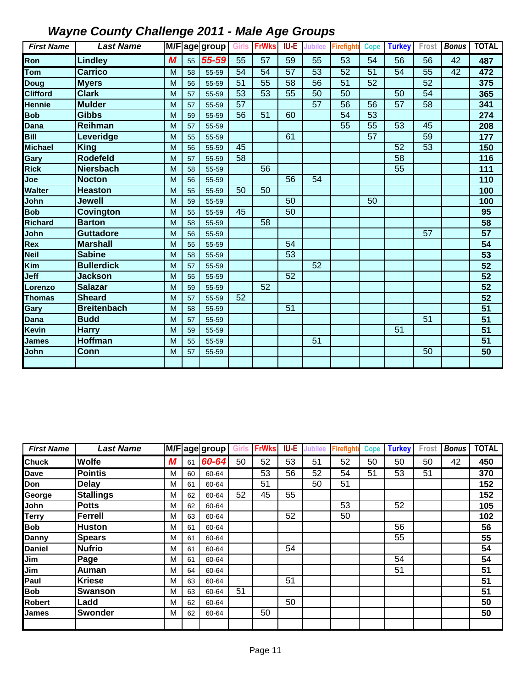| <b>First Name</b> | <b>Last Name</b>   |   |    | M/F age group Girls |    | <b>FrWks</b>    | IU-E            | <b>Jubilee</b>  | <b>Firefight</b> | <b>Cope</b> | <b>Turkey</b>   | Frost | <b>Bonus</b> | <b>TOTAL</b>    |
|-------------------|--------------------|---|----|---------------------|----|-----------------|-----------------|-----------------|------------------|-------------|-----------------|-------|--------------|-----------------|
| Ron               | <b>Lindley</b>     | M | 55 | 55-59               | 55 | 57              | 59              | 55              | 53               | 54          | 56              | 56    | 42           | 487             |
| Tom               | <b>Carrico</b>     | M | 58 | 55-59               | 54 | 54              | 57              | 53              | 52               | 51          | 54              | 55    | 42           | 472             |
| <b>Doug</b>       | <b>M</b> vers      | M | 56 | 55-59               | 51 | 55              | 58              | 56              | 51               | 52          |                 | 52    |              | 375             |
| <b>Clifford</b>   | <b>Clark</b>       | M | 57 | 55-59               | 53 | 53              | 55              | 50              | 50               |             | 50              | 54    |              | 365             |
| <b>Hennie</b>     | <b>Mulder</b>      | M | 57 | 55-59               | 57 |                 |                 | $\overline{57}$ | 56               | 56          | 57              | 58    |              | 341             |
| <b>Bob</b>        | <b>Gibbs</b>       | M | 59 | 55-59               | 56 | 51              | 60              |                 | 54               | 53          |                 |       |              | 274             |
| <b>Dana</b>       | Reihman            | M | 57 | 55-59               |    |                 |                 |                 | 55               | 55          | 53              | 45    |              | 208             |
| <b>Bill</b>       | Leveridge          | M | 55 | 55-59               |    |                 | 61              |                 |                  | 57          |                 | 59    |              | 177             |
| <b>Michael</b>    | <b>King</b>        | M | 56 | 55-59               | 45 |                 |                 |                 |                  |             | 52              | 53    |              | 150             |
| Gary              | <b>Rodefeld</b>    | M | 57 | 55-59               | 58 |                 |                 |                 |                  |             | 58              |       |              | 116             |
| <b>Rick</b>       | <b>Niersbach</b>   | M | 58 | 55-59               |    | $\overline{56}$ |                 |                 |                  |             | $\overline{55}$ |       |              | 111             |
| Joe               | <b>Nocton</b>      | M | 56 | 55-59               |    |                 | 56              | 54              |                  |             |                 |       |              | 110             |
| <b>Walter</b>     | <b>Heaston</b>     | M | 55 | 55-59               | 50 | 50              |                 |                 |                  |             |                 |       |              | 100             |
| John              | Jewell             | M | 59 | 55-59               |    |                 | 50              |                 |                  | 50          |                 |       |              | 100             |
| <b>Bob</b>        | Covington          | M | 55 | 55-59               | 45 |                 | $\overline{50}$ |                 |                  |             |                 |       |              | 95              |
| <b>Richard</b>    | <b>Barton</b>      | M | 58 | 55-59               |    | 58              |                 |                 |                  |             |                 |       |              | 58              |
| John              | <b>Guttadore</b>   | M | 56 | 55-59               |    |                 |                 |                 |                  |             |                 | 57    |              | 57              |
| Rex               | <b>Marshall</b>    | M | 55 | 55-59               |    |                 | 54              |                 |                  |             |                 |       |              | 54              |
| <b>Neil</b>       | <b>Sabine</b>      | M | 58 | 55-59               |    |                 | 53              |                 |                  |             |                 |       |              | 53              |
| Kim               | <b>Bullerdick</b>  | M | 57 | 55-59               |    |                 |                 | 52              |                  |             |                 |       |              | 52              |
| Jeff              | <b>Jackson</b>     | M | 55 | 55-59               |    |                 | 52              |                 |                  |             |                 |       |              | 52              |
| Lorenzo           | <b>Salazar</b>     | M | 59 | 55-59               |    | 52              |                 |                 |                  |             |                 |       |              | 52              |
| <b>Thomas</b>     | <b>Sheard</b>      | M | 57 | 55-59               | 52 |                 |                 |                 |                  |             |                 |       |              | $\overline{52}$ |
| Gary              | <b>Breitenbach</b> | M | 58 | 55-59               |    |                 | 51              |                 |                  |             |                 |       |              | 51              |
| <b>Dana</b>       | <b>Budd</b>        | M | 57 | 55-59               |    |                 |                 |                 |                  |             |                 | 51    |              | $\overline{51}$ |
| <b>Kevin</b>      | <b>Harry</b>       | M | 59 | 55-59               |    |                 |                 |                 |                  |             | 51              |       |              | 51              |
| <b>James</b>      | <b>Hoffman</b>     | M | 55 | 55-59               |    |                 |                 | 51              |                  |             |                 |       |              | 51              |
| John              | <b>Conn</b>        | M | 57 | 55-59               |    |                 |                 |                 |                  |             |                 | 50    |              | 50              |
|                   |                    |   |    |                     |    |                 |                 |                 |                  |             |                 |       |              |                 |

| <b>First Name</b> | <b>Last Name</b> |   |    | M/F age group | <b>Girls</b> | <b>FrWks</b> | <b>IU-E</b> | <b>Jubilee</b> | Firefight | <b>Cope</b> | <b>Turkey</b> | Frost | <b>Bonus</b> | <b>TOTAL</b> |
|-------------------|------------------|---|----|---------------|--------------|--------------|-------------|----------------|-----------|-------------|---------------|-------|--------------|--------------|
| <b>Chuck</b>      | <b>Wolfe</b>     | М | 61 | 60-64         | 50           | 52           | 53          | 51             | 52        | 50          | 50            | 50    | 42           | 450          |
| <b>Dave</b>       | <b>Pointis</b>   | М | 60 | 60-64         |              | 53           | 56          | 52             | 54        | 51          | 53            | 51    |              | 370          |
| Don               | <b>Delay</b>     | M | 61 | 60-64         |              | 51           |             | 50             | 51        |             |               |       |              | 152          |
| George            | <b>Stallings</b> | M | 62 | 60-64         | 52           | 45           | 55          |                |           |             |               |       |              | 152          |
| John              | <b>Potts</b>     | M | 62 | 60-64         |              |              |             |                | 53        |             | 52            |       |              | 105          |
| <b>Terry</b>      | Ferrell          | M | 63 | 60-64         |              |              | 52          |                | 50        |             |               |       |              | 102          |
| <b>Bob</b>        | <b>Huston</b>    | M | 61 | 60-64         |              |              |             |                |           |             | 56            |       |              | 56           |
| <b>Danny</b>      | <b>Spears</b>    | M | 61 | 60-64         |              |              |             |                |           |             | 55            |       |              | 55           |
| <b>Daniel</b>     | <b>Nufrio</b>    | M | 61 | 60-64         |              |              | 54          |                |           |             |               |       |              | 54           |
| Jim               | Page             | M | 61 | 60-64         |              |              |             |                |           |             | 54            |       |              | 54           |
| Jim               | Auman            | M | 64 | 60-64         |              |              |             |                |           |             | 51            |       |              | 51           |
| Paul              | <b>Kriese</b>    | M | 63 | 60-64         |              |              | 51          |                |           |             |               |       |              | 51           |
| <b>Bob</b>        | <b>Swanson</b>   | M | 63 | 60-64         | 51           |              |             |                |           |             |               |       |              | 51           |
| <b>Robert</b>     | Ladd             | M | 62 | 60-64         |              |              | 50          |                |           |             |               |       |              | 50           |
| <b>James</b>      | <b>Swonder</b>   | M | 62 | 60-64         |              | 50           |             |                |           |             |               |       |              | 50           |
|                   |                  |   |    |               |              |              |             |                |           |             |               |       |              |              |